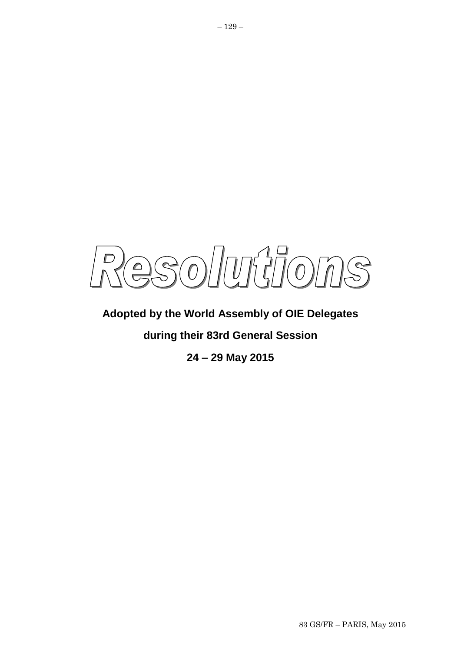soluthons  $\frac{1}{\sqrt{2}}$ 

**Adopted by the World Assembly of OIE Delegates**

**during their 83rd General Session**

**24 – 29 May 2015**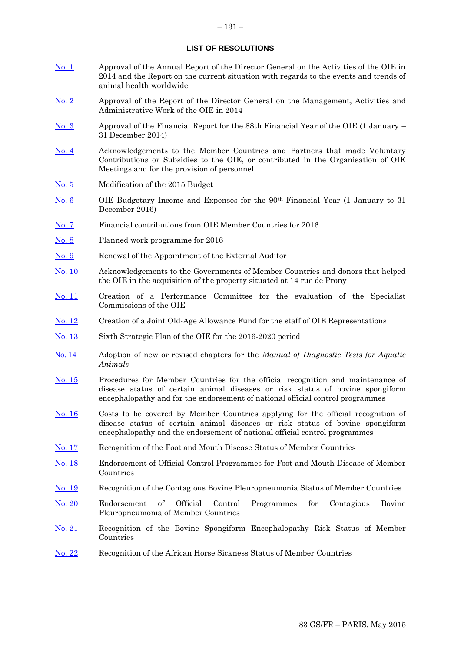#### **LIST OF RESOLUTIONS**

- [No. 1](#page-4-0) Approval of the Annual Report of the Director General on the Activities of the OIE in 2014 and the Report on the current situation with regards to the events and trends of animal health worldwide
- [No. 2](#page-5-0) Approval of the Report of the Director General on the Management, Activities and Administrative Work of the OIE in 2014
- [No. 3](#page-6-0) Approval of the Financial Report for the 88th Financial Year of the OIE (1 January 31 December 2014)
- [No. 4](#page-7-0) Acknowledgements to the Member Countries and Partners that made Voluntary Contributions or Subsidies to the OIE, or contributed in the Organisation of OIE Meetings and for the provision of personnel
- [No. 5](#page-8-0) Modification of the 2015 Budget
- [No. 6](#page-10-0) OIE Budgetary Income and Expenses for the 90th Financial Year (1 January to 31 December 2016)
- [No. 7](#page-12-0) Financial contributions from OIE Member Countries for 2016
- [No. 8](#page-13-0) Planned work programme for 2016
- [No. 9](#page-14-0) Renewal of the Appointment of the External Auditor
- [No. 10](#page-15-0) Acknowledgements to the Governments of Member Countries and donors that helped the OIE in the acquisition of the property situated at 14 rue de Prony
- [No. 11](#page-16-0) Creation of a Performance Committee for the evaluation of the Specialist Commissions of the OIE
- [No. 12](#page-17-0) Creation of a Joint Old-Age Allowance Fund for the staff of OIE Representations
- [No. 13](#page-18-0) Sixth Strategic Plan of the OIE for the 2016-2020 period
- [No. 1](#page-4-0)4 Adoption of new or revised chapters for the *Manual of Diagnostic Tests for Aquatic Animals*
- [No. 15](#page-20-0) Procedures for Member Countries for the official recognition and maintenance of disease status of certain animal diseases or risk status of bovine spongiform encephalopathy and for the endorsement of national official control programmes
- [No. 16](#page-24-0) Costs to be covered by Member Countries applying for the official recognition of disease status of certain animal diseases or risk status of bovine spongiform encephalopathy and the endorsement of national official control programmes
- [No. 17](#page-26-0) Recognition of the Foot and Mouth Disease Status of Member Countries
- [No. 18](#page-30-0) Endorsement of Official Control Programmes for Foot and Mouth Disease of Member Countries
- [No. 19](#page-31-0) Recognition of the Contagious Bovine Pleuropneumonia Status of Member Countries
- [No. 20](#page-32-0) Endorsement of Official Control Programmes for Contagious Bovine Pleuropneumonia of Member Countries
- [No. 21](#page-33-0) Recognition of the Bovine Spongiform Encephalopathy Risk Status of Member Countries
- [No. 22](#page-35-0) Recognition of the African Horse Sickness Status of Member Countries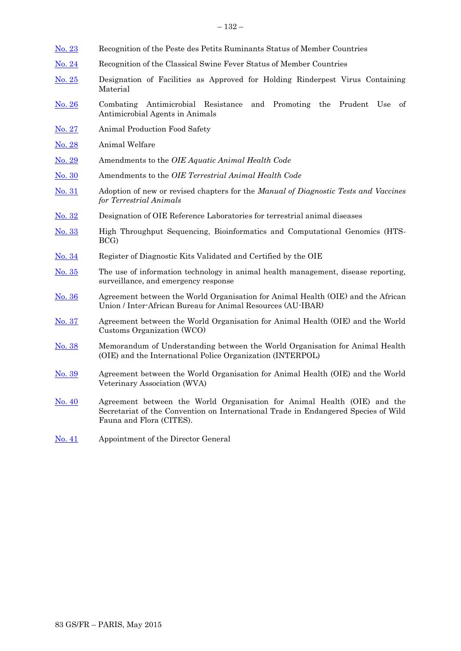- [No. 23](#page-36-0) Recognition of the Peste des Petits Ruminants Status of Member Countries
- [No. 24](#page-38-0) Recognition of the Classical Swine Fever Status of Member Countries
- [No. 25](#page-39-0) Designation of Facilities as Approved for Holding Rinderpest Virus Containing Material
- [No. 26](#page-41-0) Combating Antimicrobial Resistance and Promoting the Prudent Use of Antimicrobial Agents in Animals
- [No. 27](#page-43-0) Animal Production Food Safety
- [No. 28](#page-45-0) Animal Welfare
- [No. 29](#page-47-0) Amendments to the *OIE Aquatic Animal Health Code*
- [No. 30](#page-49-0) Amendments to the *OIE Terrestrial Animal Health Code*
- [No. 31](#page-51-0) Adoption of new or revised chapters for the *Manual of Diagnostic Tests and Vaccines for Terrestrial Animals*
- [No. 32](#page-52-0) Designation of OIE Reference Laboratories for terrestrial animal diseases
- [No. 33](#page-54-0) High Throughput Sequencing, Bioinformatics and Computational Genomics (HTS-BCG)
- [No. 34](#page-56-0) Register of Diagnostic Kits Validated and Certified by the OIE
- [No. 35](#page-58-0) The use of information technology in animal health management, disease reporting, surveillance, and emergency response
- [No. 36](#page-60-0) Agreement between the World Organisation for Animal Health (OIE) and the African Union / Inter-African Bureau for Animal Resources (AU-IBAR)
- [No. 37](#page-61-0) Agreement between the World Organisation for Animal Health (OIE) and the World Customs Organization (WCO)
- [No. 38](#page-62-0) Memorandum of Understanding between the World Organisation for Animal Health (OIE) and the International Police Organization (INTERPOL)
- [No. 39](#page-63-0) Agreement between the World Organisation for Animal Health (OIE) and the World Veterinary Association (WVA)
- [No. 40](#page-64-0) Agreement between the World Organisation for Animal Health (OIE) and the Secretariat of the Convention on International Trade in Endangered Species of Wild Fauna and Flora (CITES).
- [No. 41](#page-65-0) Appointment of the Director General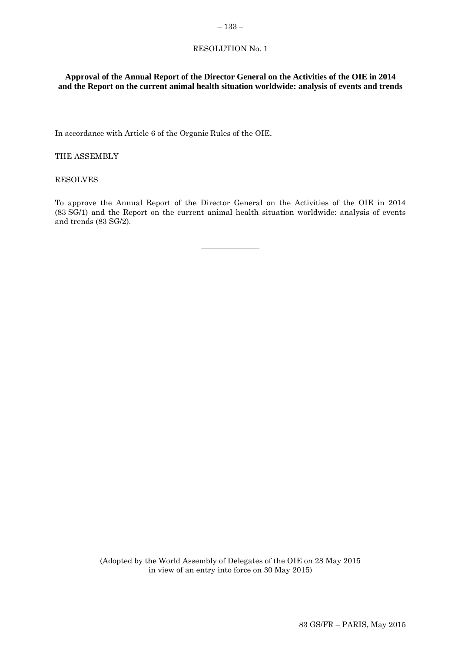#### <span id="page-4-0"></span>– 133 –

### RESOLUTION No. 1

### **Approval of the Annual Report of the Director General on the Activities of the OIE in 2014 and the Report on the current animal health situation worldwide: analysis of events and trends**

In accordance with Article 6 of the Organic Rules of the OIE,

THE ASSEMBLY

RESOLVES

To approve the Annual Report of the Director General on the Activities of the OIE in 2014 (83 SG/1) and the Report on the current animal health situation worldwide: analysis of events and trends (83 SG/2).

 $\overline{\phantom{a}}$  , where  $\overline{\phantom{a}}$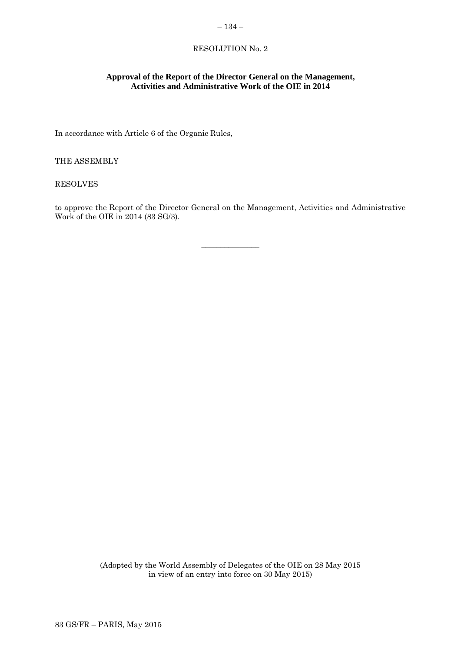### <span id="page-5-0"></span>– 134 –

### RESOLUTION No. 2

### **Approval of the Report of the Director General on the Management, Activities and Administrative Work of the OIE in 2014**

In accordance with Article 6 of the Organic Rules,

THE ASSEMBLY

RESOLVES

to approve the Report of the Director General on the Management, Activities and Administrative Work of the OIE in 2014 (83 SG/3).

\_\_\_\_\_\_\_\_\_\_\_\_\_\_\_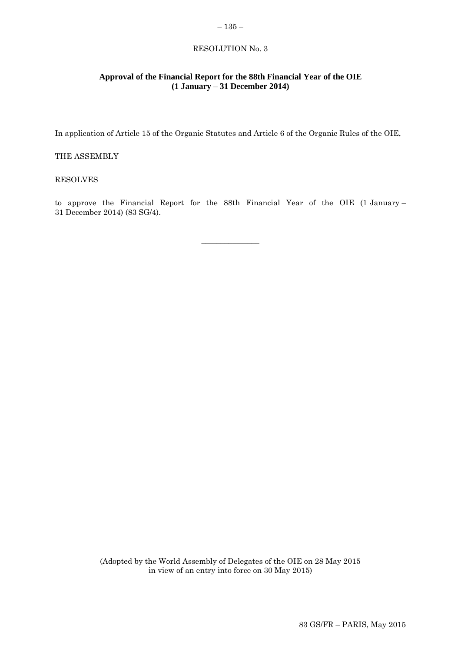### <span id="page-6-0"></span>RESOLUTION No. 3

### **Approval of the Financial Report for the 88th Financial Year of the OIE (1 January – 31 December 2014)**

In application of Article 15 of the Organic Statutes and Article 6 of the Organic Rules of the OIE,

### THE ASSEMBLY

#### RESOLVES

to approve the Financial Report for the 88th Financial Year of the OIE (1 January – 31 December 2014) (83 SG/4).

 $\overline{\phantom{a}}$  , where  $\overline{\phantom{a}}$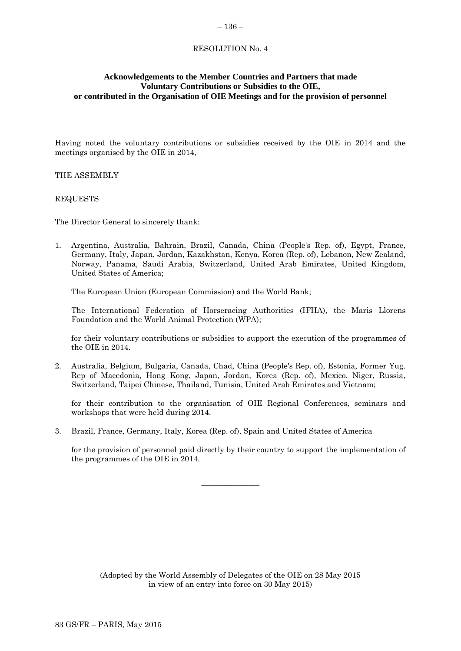#### <span id="page-7-0"></span>– 136 –

### RESOLUTION No. 4

### **Acknowledgements to the Member Countries and Partners that made Voluntary Contributions or Subsidies to the OIE, or contributed in the Organisation of OIE Meetings and for the provision of personnel**

Having noted the voluntary contributions or subsidies received by the OIE in 2014 and the meetings organised by the OIE in 2014,

### THE ASSEMBLY

### REQUESTS

The Director General to sincerely thank:

1. Argentina, Australia, Bahrain, Brazil, Canada, China (People's Rep. of), Egypt, France, Germany, Italy, Japan, Jordan, Kazakhstan, Kenya, Korea (Rep. of), Lebanon, New Zealand, Norway, Panama, Saudi Arabia, Switzerland, United Arab Emirates, United Kingdom, United States of America;

The European Union (European Commission) and the World Bank;

The International Federation of Horseracing Authorities (IFHA), the Maris Llorens Foundation and the World Animal Protection (WPA);

for their voluntary contributions or subsidies to support the execution of the programmes of the OIE in 2014.

2. Australia, Belgium, Bulgaria, Canada, Chad, China (People's Rep. of), Estonia, Former Yug. Rep of Macedonia, Hong Kong, Japan, Jordan, Korea (Rep. of), Mexico, Niger, Russia, Switzerland, Taipei Chinese, Thailand, Tunisia, United Arab Emirates and Vietnam;

for their contribution to the organisation of OIE Regional Conferences, seminars and workshops that were held during 2014.

3. Brazil, France, Germany, Italy, Korea (Rep. of), Spain and United States of America

for the provision of personnel paid directly by their country to support the implementation of the programmes of the OIE in 2014.

 $\overline{\phantom{a}}$  , where  $\overline{\phantom{a}}$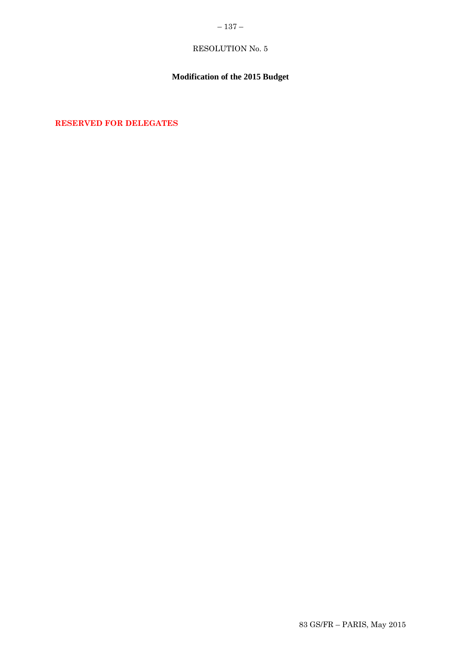### <span id="page-8-0"></span> $-137-$

# RESOLUTION No. 5

# **Modification of the 2015 Budget**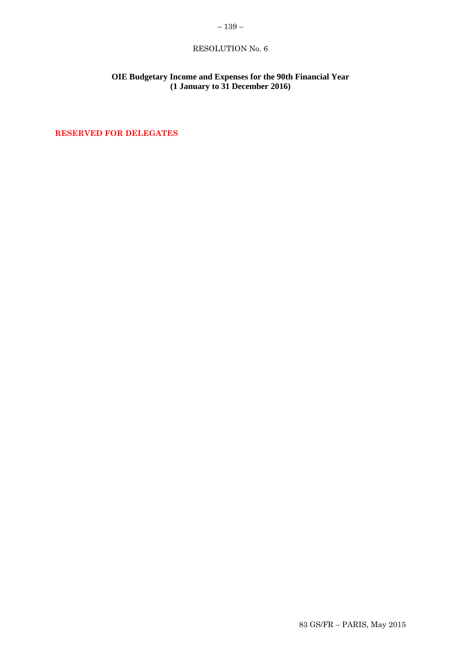### <span id="page-10-0"></span> $-139-$

### RESOLUTION No. 6

### **OIE Budgetary Income and Expenses for the 90th Financial Year (1 January to 31 December 2016)**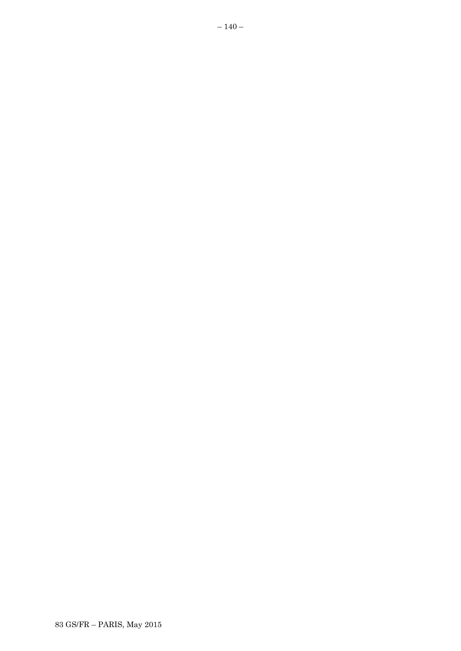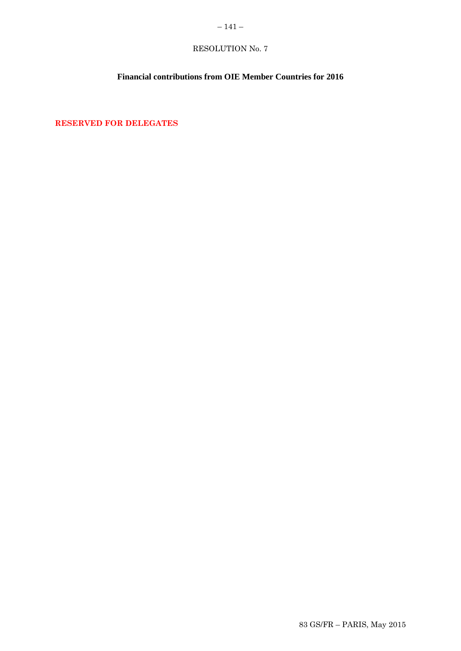### <span id="page-12-0"></span> $-141-$

# RESOLUTION No. 7

# **Financial contributions from OIE Member Countries for 2016**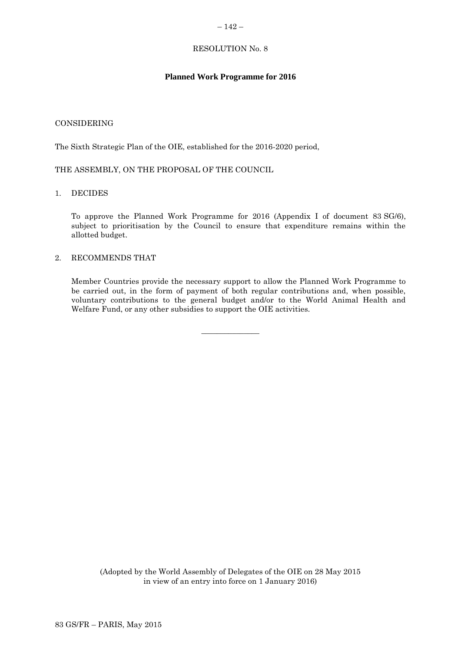### <span id="page-13-0"></span> $-142-$

### RESOLUTION No. 8

### **Planned Work Programme for 2016**

### CONSIDERING

The Sixth Strategic Plan of the OIE, established for the 2016-2020 period,

THE ASSEMBLY, ON THE PROPOSAL OF THE COUNCIL

### 1. DECIDES

To approve the Planned Work Programme for 2016 (Appendix I of document 83 SG/6), subject to prioritisation by the Council to ensure that expenditure remains within the allotted budget.

### 2. RECOMMENDS THAT

Member Countries provide the necessary support to allow the Planned Work Programme to be carried out, in the form of payment of both regular contributions and, when possible, voluntary contributions to the general budget and/or to the World Animal Health and Welfare Fund, or any other subsidies to support the OIE activities.

 $\overline{\phantom{a}}$  , where  $\overline{\phantom{a}}$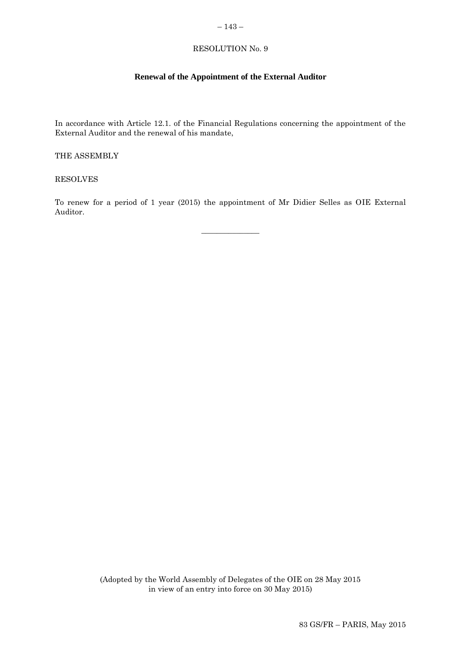### <span id="page-14-0"></span>– 143 –

### RESOLUTION No. 9

### **Renewal of the Appointment of the External Auditor**

In accordance with Article 12.1. of the Financial Regulations concerning the appointment of the External Auditor and the renewal of his mandate,

THE ASSEMBLY

RESOLVES

To renew for a period of 1 year (2015) the appointment of Mr Didier Selles as OIE External Auditor.

 $\overline{\phantom{a}}$  , where  $\overline{\phantom{a}}$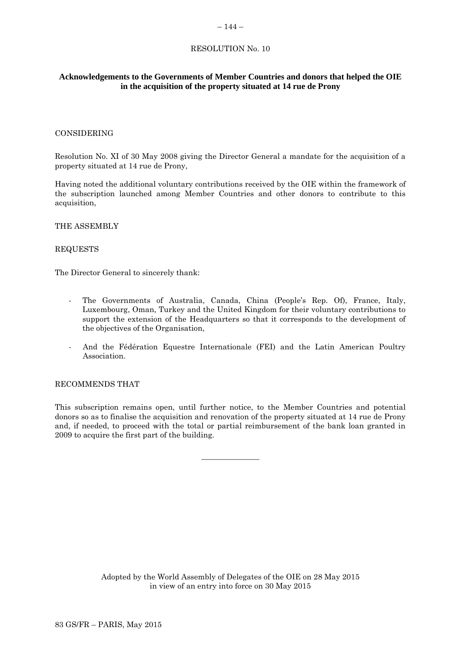#### <span id="page-15-0"></span> $-144-$

### RESOLUTION No. 10

### **Acknowledgements to the Governments of Member Countries and donors that helped the OIE in the acquisition of the property situated at 14 rue de Prony**

#### **CONSIDERING**

Resolution No. XI of 30 May 2008 giving the Director General a mandate for the acquisition of a property situated at 14 rue de Prony,

Having noted the additional voluntary contributions received by the OIE within the framework of the subscription launched among Member Countries and other donors to contribute to this acquisition,

### THE ASSEMBLY

### REQUESTS

The Director General to sincerely thank:

- The Governments of Australia, Canada, China (People's Rep. Of), France, Italy, Luxembourg, Oman, Turkey and the United Kingdom for their voluntary contributions to support the extension of the Headquarters so that it corresponds to the development of the objectives of the Organisation,
- And the Fédération Equestre Internationale (FEI) and the Latin American Poultry Association.

#### RECOMMENDS THAT

This subscription remains open, until further notice, to the Member Countries and potential donors so as to finalise the acquisition and renovation of the property situated at 14 rue de Prony and, if needed, to proceed with the total or partial reimbursement of the bank loan granted in 2009 to acquire the first part of the building.

 $\overline{\phantom{a}}$  , where  $\overline{\phantom{a}}$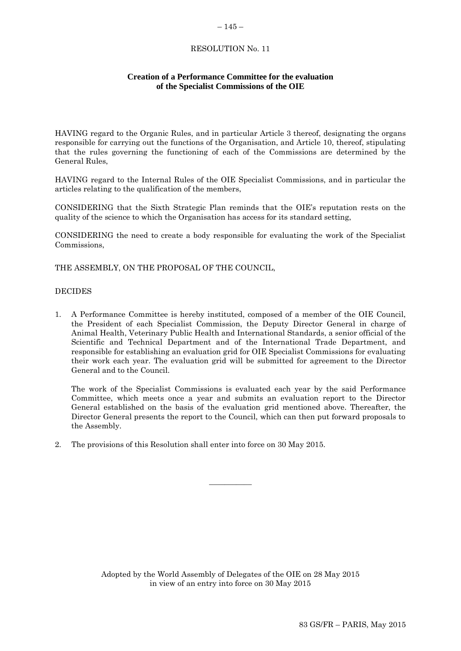# <span id="page-16-0"></span>RESOLUTION No. 11

### **Creation of a Performance Committee for the evaluation of the Specialist Commissions of the OIE**

HAVING regard to the Organic Rules, and in particular Article 3 thereof, designating the organs responsible for carrying out the functions of the Organisation, and Article 10, thereof, stipulating that the rules governing the functioning of each of the Commissions are determined by the General Rules,

HAVING regard to the Internal Rules of the OIE Specialist Commissions, and in particular the articles relating to the qualification of the members,

CONSIDERING that the Sixth Strategic Plan reminds that the OIE's reputation rests on the quality of the science to which the Organisation has access for its standard setting,

CONSIDERING the need to create a body responsible for evaluating the work of the Specialist Commissions,

THE ASSEMBLY, ON THE PROPOSAL OF THE COUNCIL,

### DECIDES

1. A Performance Committee is hereby instituted, composed of a member of the OIE Council, the President of each Specialist Commission, the Deputy Director General in charge of Animal Health, Veterinary Public Health and International Standards, a senior official of the Scientific and Technical Department and of the International Trade Department, and responsible for establishing an evaluation grid for OIE Specialist Commissions for evaluating their work each year. The evaluation grid will be submitted for agreement to the Director General and to the Council.

The work of the Specialist Commissions is evaluated each year by the said Performance Committee, which meets once a year and submits an evaluation report to the Director General established on the basis of the evaluation grid mentioned above. Thereafter, the Director General presents the report to the Council, which can then put forward proposals to the Assembly.

2. The provisions of this Resolution shall enter into force on 30 May 2015.

Adopted by the World Assembly of Delegates of the OIE on 28 May 2015 in view of an entry into force on 30 May 2015

 $\overline{\phantom{a}}$  ,  $\overline{\phantom{a}}$  ,  $\overline{\phantom{a}}$  ,  $\overline{\phantom{a}}$  ,  $\overline{\phantom{a}}$  ,  $\overline{\phantom{a}}$  ,  $\overline{\phantom{a}}$  ,  $\overline{\phantom{a}}$  ,  $\overline{\phantom{a}}$  ,  $\overline{\phantom{a}}$  ,  $\overline{\phantom{a}}$  ,  $\overline{\phantom{a}}$  ,  $\overline{\phantom{a}}$  ,  $\overline{\phantom{a}}$  ,  $\overline{\phantom{a}}$  ,  $\overline{\phantom{a}}$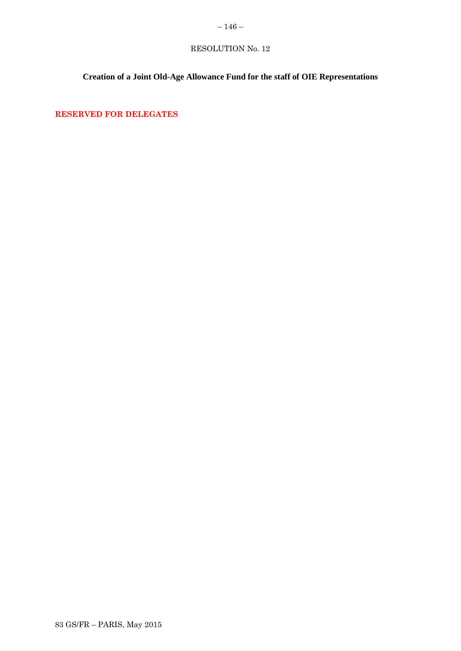## <span id="page-17-0"></span>RESOLUTION No. 12

# **Creation of a Joint Old-Age Allowance Fund for the staff of OIE Representations**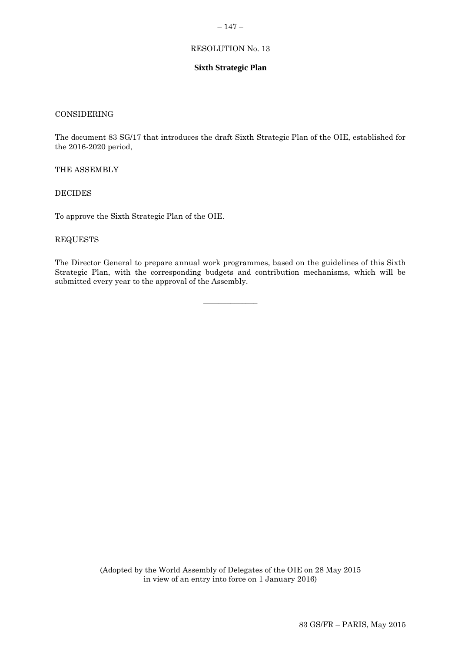### <span id="page-18-0"></span> $-147-$

### RESOLUTION No. 13

### **Sixth Strategic Plan**

#### CONSIDERING

The document 83 SG/17 that introduces the draft Sixth Strategic Plan of the OIE, established for the 2016-2020 period,

THE ASSEMBLY

DECIDES

To approve the Sixth Strategic Plan of the OIE.

### REQUESTS

The Director General to prepare annual work programmes, based on the guidelines of this Sixth Strategic Plan, with the corresponding budgets and contribution mechanisms, which will be submitted every year to the approval of the Assembly.

\_\_\_\_\_\_\_\_\_\_\_\_\_\_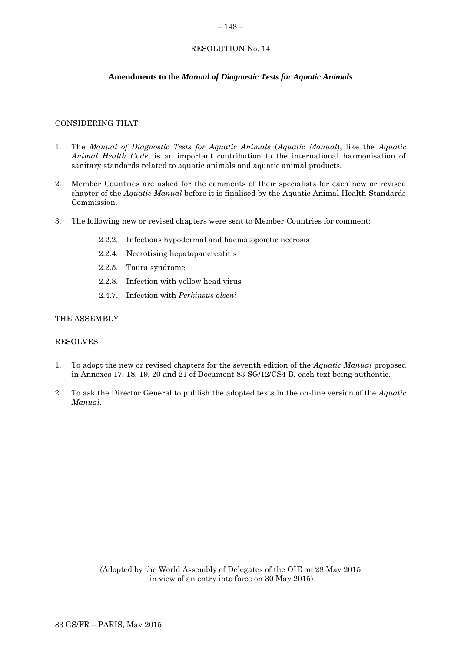#### <span id="page-19-0"></span> $-148-$

### RESOLUTION No. 14

### **Amendments to the** *Manual of Diagnostic Tests for Aquatic Animals*

### CONSIDERING THAT

- 1. The *Manual of Diagnostic Tests for Aquatic Animals* (*Aquatic Manual*), like the *Aquatic Animal Health Code*, is an important contribution to the international harmonisation of sanitary standards related to aquatic animals and aquatic animal products,
- 2. Member Countries are asked for the comments of their specialists for each new or revised chapter of the *Aquatic Manual* before it is finalised by the Aquatic Animal Health Standards Commission,
- 3. The following new or revised chapters were sent to Member Countries for comment:
	- 2.2.2. Infectious hypodermal and haematopoietic necrosis
	- 2.2.4. Necrotising hepatopancreatitis
	- 2.2.5. Taura syndrome
	- 2.2.8. Infection with yellow head virus
	- 2.4.7. Infection with *Perkinsus olseni*

### THE ASSEMBLY

#### RESOLVES

- 1. To adopt the new or revised chapters for the seventh edition of the *Aquatic Manual* proposed in Annexes 17, 18, 19, 20 and 21 of Document 83 SG/12/CS4 B, each text being authentic.
- 2. To ask the Director General to publish the adopted texts in the on-line version of the *Aquatic Manual*.

\_\_\_\_\_\_\_\_\_\_\_\_\_\_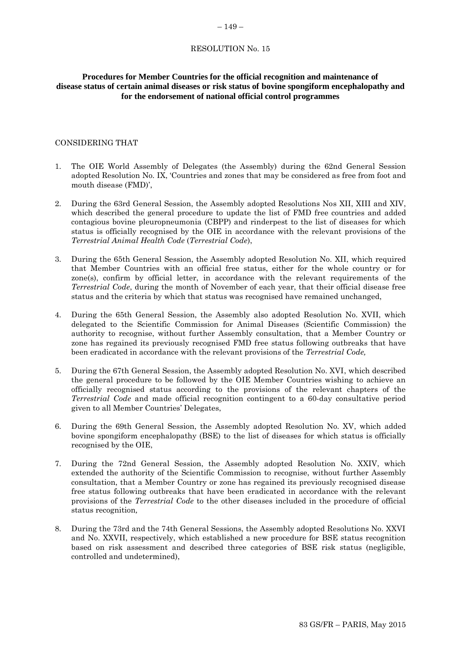#### <span id="page-20-0"></span>– 149 –

#### RESOLUTION No. 15

### **Procedures for Member Countries for the official recognition and maintenance of disease status of certain animal diseases or risk status of bovine spongiform encephalopathy and for the endorsement of national official control programmes**

#### CONSIDERING THAT

- 1. The OIE World Assembly of Delegates (the Assembly) during the 62nd General Session adopted Resolution No. IX, 'Countries and zones that may be considered as free from foot and mouth disease (FMD)',
- 2. During the 63rd General Session, the Assembly adopted Resolutions Nos XII, XIII and XIV, which described the general procedure to update the list of FMD free countries and added contagious bovine pleuropneumonia (CBPP) and rinderpest to the list of diseases for which status is officially recognised by the OIE in accordance with the relevant provisions of the *Terrestrial Animal Health Code* (*Terrestrial Code*),
- 3. During the 65th General Session, the Assembly adopted Resolution No. XII, which required that Member Countries with an official free status, either for the whole country or for zone(s), confirm by official letter, in accordance with the relevant requirements of the *Terrestrial Code*, during the month of November of each year, that their official disease free status and the criteria by which that status was recognised have remained unchanged,
- 4. During the 65th General Session, the Assembly also adopted Resolution No. XVII, which delegated to the Scientific Commission for Animal Diseases (Scientific Commission) the authority to recognise, without further Assembly consultation, that a Member Country or zone has regained its previously recognised FMD free status following outbreaks that have been eradicated in accordance with the relevant provisions of the *Terrestrial Code,*
- 5. During the 67th General Session, the Assembly adopted Resolution No. XVI, which described the general procedure to be followed by the OIE Member Countries wishing to achieve an officially recognised status according to the provisions of the relevant chapters of the *Terrestrial Code* and made official recognition contingent to a 60-day consultative period given to all Member Countries' Delegates,
- 6. During the 69th General Session, the Assembly adopted Resolution No. XV, which added bovine spongiform encephalopathy (BSE) to the list of diseases for which status is officially recognised by the OIE,
- 7. During the 72nd General Session, the Assembly adopted Resolution No. XXIV, which extended the authority of the Scientific Commission to recognise, without further Assembly consultation, that a Member Country or zone has regained its previously recognised disease free status following outbreaks that have been eradicated in accordance with the relevant provisions of the *Terrestrial Code* to the other diseases included in the procedure of official status recognition*,*
- 8. During the 73rd and the 74th General Sessions, the Assembly adopted Resolutions No. XXVI and No. XXVII, respectively, which established a new procedure for BSE status recognition based on risk assessment and described three categories of BSE risk status (negligible, controlled and undetermined),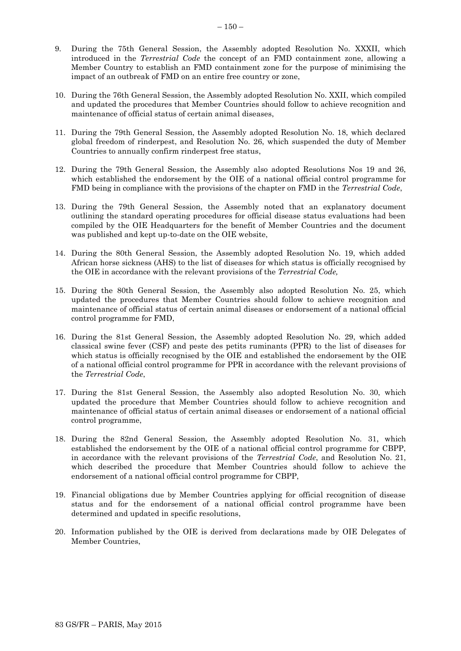- 9. During the 75th General Session, the Assembly adopted Resolution No. XXXII, which introduced in the *Terrestrial Code* the concept of an FMD containment zone, allowing a Member Country to establish an FMD containment zone for the purpose of minimising the impact of an outbreak of FMD on an entire free country or zone,
- 10. During the 76th General Session, the Assembly adopted Resolution No. XXII, which compiled and updated the procedures that Member Countries should follow to achieve recognition and maintenance of official status of certain animal diseases,
- 11. During the 79th General Session, the Assembly adopted Resolution No. 18, which declared global freedom of rinderpest, and Resolution No. 26, which suspended the duty of Member Countries to annually confirm rinderpest free status,
- 12. During the 79th General Session, the Assembly also adopted Resolutions Nos 19 and 26, which established the endorsement by the OIE of a national official control programme for FMD being in compliance with the provisions of the chapter on FMD in the *Terrestrial Code*,
- 13. During the 79th General Session, the Assembly noted that an explanatory document outlining the standard operating procedures for official disease status evaluations had been compiled by the OIE Headquarters for the benefit of Member Countries and the document was published and kept up-to-date on the OIE website,
- 14. During the 80th General Session, the Assembly adopted Resolution No. 19, which added African horse sickness (AHS) to the list of diseases for which status is officially recognised by the OIE in accordance with the relevant provisions of the *Terrestrial Code,*
- 15. During the 80th General Session, the Assembly also adopted Resolution No. 25, which updated the procedures that Member Countries should follow to achieve recognition and maintenance of official status of certain animal diseases or endorsement of a national official control programme for FMD,
- 16. During the 81st General Session, the Assembly adopted Resolution No. 29, which added classical swine fever (CSF) and peste des petits ruminants (PPR) to the list of diseases for which status is officially recognised by the OIE and established the endorsement by the OIE of a national official control programme for PPR in accordance with the relevant provisions of the *Terrestrial Code*,
- 17. During the 81st General Session, the Assembly also adopted Resolution No. 30, which updated the procedure that Member Countries should follow to achieve recognition and maintenance of official status of certain animal diseases or endorsement of a national official control programme,
- 18. During the 82nd General Session, the Assembly adopted Resolution No. 31, which established the endorsement by the OIE of a national official control programme for CBPP, in accordance with the relevant provisions of the *Terrestrial Code*, and Resolution No. 21, which described the procedure that Member Countries should follow to achieve the endorsement of a national official control programme for CBPP,
- 19. Financial obligations due by Member Countries applying for official recognition of disease status and for the endorsement of a national official control programme have been determined and updated in specific resolutions,
- 20. Information published by the OIE is derived from declarations made by OIE Delegates of Member Countries,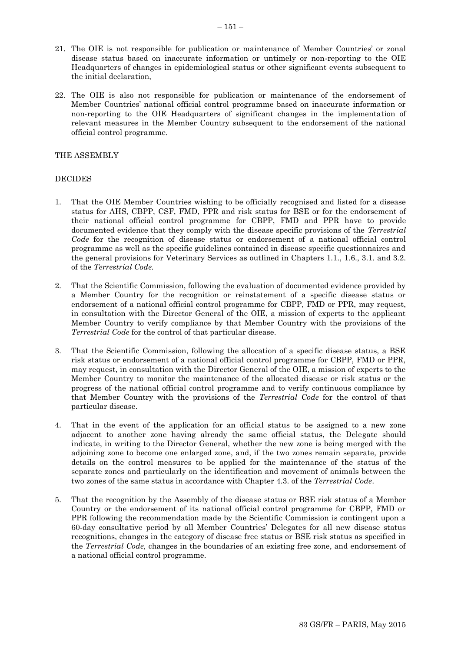- 21. The OIE is not responsible for publication or maintenance of Member Countries' or zonal disease status based on inaccurate information or untimely or non-reporting to the OIE Headquarters of changes in epidemiological status or other significant events subsequent to the initial declaration,
- 22. The OIE is also not responsible for publication or maintenance of the endorsement of Member Countries' national official control programme based on inaccurate information or non-reporting to the OIE Headquarters of significant changes in the implementation of relevant measures in the Member Country subsequent to the endorsement of the national official control programme.

#### THE ASSEMBLY

### DECIDES

- 1. That the OIE Member Countries wishing to be officially recognised and listed for a disease status for AHS, CBPP, CSF, FMD, PPR and risk status for BSE or for the endorsement of their national official control programme for CBPP, FMD and PPR have to provide documented evidence that they comply with the disease specific provisions of the *Terrestrial Code* for the recognition of disease status or endorsement of a national official control programme as well as the specific guidelines contained in disease specific questionnaires and the general provisions for Veterinary Services as outlined in Chapters 1.1., 1.6., 3.1. and 3.2. of the *Terrestrial Code.*
- 2. That the Scientific Commission, following the evaluation of documented evidence provided by a Member Country for the recognition or reinstatement of a specific disease status or endorsement of a national official control programme for CBPP, FMD or PPR, may request, in consultation with the Director General of the OIE, a mission of experts to the applicant Member Country to verify compliance by that Member Country with the provisions of the *Terrestrial Code* for the control of that particular disease.
- 3. That the Scientific Commission, following the allocation of a specific disease status, a BSE risk status or endorsement of a national official control programme for CBPP, FMD or PPR, may request, in consultation with the Director General of the OIE, a mission of experts to the Member Country to monitor the maintenance of the allocated disease or risk status or the progress of the national official control programme and to verify continuous compliance by that Member Country with the provisions of the *Terrestrial Code* for the control of that particular disease.
- 4. That in the event of the application for an official status to be assigned to a new zone adjacent to another zone having already the same official status, the Delegate should indicate, in writing to the Director General, whether the new zone is being merged with the adjoining zone to become one enlarged zone, and, if the two zones remain separate, provide details on the control measures to be applied for the maintenance of the status of the separate zones and particularly on the identification and movement of animals between the two zones of the same status in accordance with Chapter 4.3. of the *Terrestrial Code*.
- 5. That the recognition by the Assembly of the disease status or BSE risk status of a Member Country or the endorsement of its national official control programme for CBPP, FMD or PPR following the recommendation made by the Scientific Commission is contingent upon a 60-day consultative period by all Member Countries' Delegates for all new disease status recognitions, changes in the category of disease free status or BSE risk status as specified in the *Terrestrial Code,* changes in the boundaries of an existing free zone, and endorsement of a national official control programme.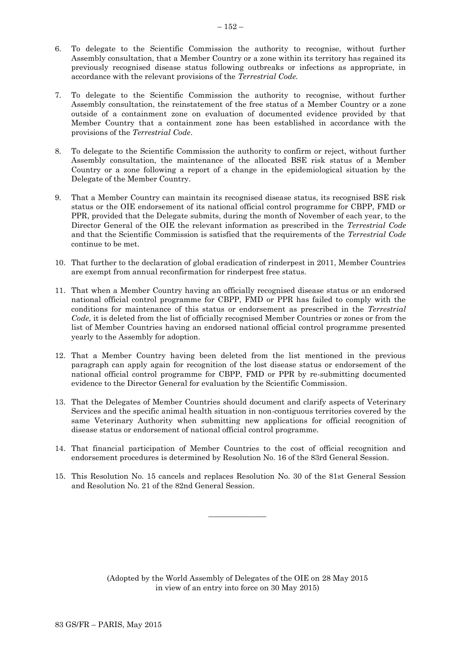- 6. To delegate to the Scientific Commission the authority to recognise, without further Assembly consultation, that a Member Country or a zone within its territory has regained its previously recognised disease status following outbreaks or infections as appropriate, in accordance with the relevant provisions of the *Terrestrial Code.*
- 7. To delegate to the Scientific Commission the authority to recognise, without further Assembly consultation, the reinstatement of the free status of a Member Country or a zone outside of a containment zone on evaluation of documented evidence provided by that Member Country that a containment zone has been established in accordance with the provisions of the *Terrestrial Code*.
- 8. To delegate to the Scientific Commission the authority to confirm or reject, without further Assembly consultation, the maintenance of the allocated BSE risk status of a Member Country or a zone following a report of a change in the epidemiological situation by the Delegate of the Member Country.
- 9. That a Member Country can maintain its recognised disease status, its recognised BSE risk status or the OIE endorsement of its national official control programme for CBPP, FMD or PPR, provided that the Delegate submits, during the month of November of each year, to the Director General of the OIE the relevant information as prescribed in the *Terrestrial Code* and that the Scientific Commission is satisfied that the requirements of the *Terrestrial Code* continue to be met.
- 10. That further to the declaration of global eradication of rinderpest in 2011, Member Countries are exempt from annual reconfirmation for rinderpest free status.
- 11. That when a Member Country having an officially recognised disease status or an endorsed national official control programme for CBPP, FMD or PPR has failed to comply with the conditions for maintenance of this status or endorsement as prescribed in the *Terrestrial Code,* it is deleted from the list of officially recognised Member Countries or zones or from the list of Member Countries having an endorsed national official control programme presented yearly to the Assembly for adoption.
- 12. That a Member Country having been deleted from the list mentioned in the previous paragraph can apply again for recognition of the lost disease status or endorsement of the national official control programme for CBPP, FMD or PPR by re-submitting documented evidence to the Director General for evaluation by the Scientific Commission.
- 13. That the Delegates of Member Countries should document and clarify aspects of Veterinary Services and the specific animal health situation in non-contiguous territories covered by the same Veterinary Authority when submitting new applications for official recognition of disease status or endorsement of national official control programme.
- 14. That financial participation of Member Countries to the cost of official recognition and endorsement procedures is determined by Resolution No. 16 of the 83rd General Session.
- 15. This Resolution No. 15 cancels and replaces Resolution No. 30 of the 81st General Session and Resolution No. 21 of the 82nd General Session.

 $\overline{\phantom{a}}$  , where  $\overline{\phantom{a}}$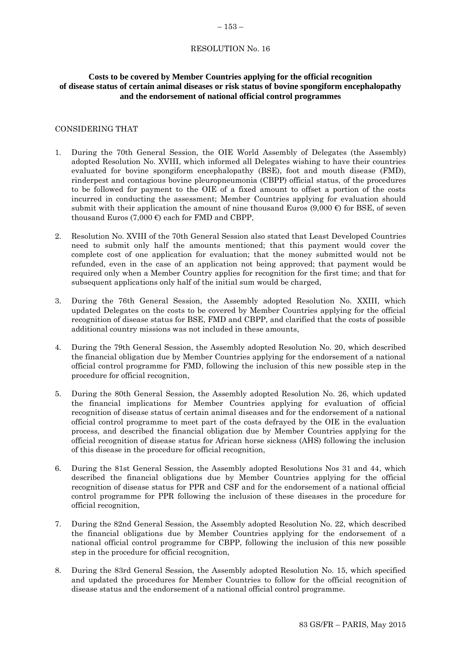#### <span id="page-24-0"></span>RESOLUTION No. 16

### **Costs to be covered by Member Countries applying for the official recognition of disease status of certain animal diseases or risk status of bovine spongiform encephalopathy and the endorsement of national official control programmes**

#### CONSIDERING THAT

- 1. During the 70th General Session, the OIE World Assembly of Delegates (the Assembly) adopted Resolution No. XVIII, which informed all Delegates wishing to have their countries evaluated for bovine spongiform encephalopathy (BSE), foot and mouth disease (FMD), rinderpest and contagious bovine pleuropneumonia (CBPP) official status, of the procedures to be followed for payment to the OIE of a fixed amount to offset a portion of the costs incurred in conducting the assessment; Member Countries applying for evaluation should submit with their application the amount of nine thousand Euros  $(9,000 \epsilon)$  for BSE, of seven thousand Euros (7,000  $\varepsilon$ ) each for FMD and CBPP,
- 2. Resolution No. XVIII of the 70th General Session also stated that Least Developed Countries need to submit only half the amounts mentioned; that this payment would cover the complete cost of one application for evaluation; that the money submitted would not be refunded, even in the case of an application not being approved; that payment would be required only when a Member Country applies for recognition for the first time; and that for subsequent applications only half of the initial sum would be charged,
- 3. During the 76th General Session, the Assembly adopted Resolution No. XXIII, which updated Delegates on the costs to be covered by Member Countries applying for the official recognition of disease status for BSE, FMD and CBPP, and clarified that the costs of possible additional country missions was not included in these amounts,
- 4. During the 79th General Session, the Assembly adopted Resolution No. 20, which described the financial obligation due by Member Countries applying for the endorsement of a national official control programme for FMD, following the inclusion of this new possible step in the procedure for official recognition,
- 5. During the 80th General Session, the Assembly adopted Resolution No. 26, which updated the financial implications for Member Countries applying for evaluation of official recognition of disease status of certain animal diseases and for the endorsement of a national official control programme to meet part of the costs defrayed by the OIE in the evaluation process, and described the financial obligation due by Member Countries applying for the official recognition of disease status for African horse sickness (AHS) following the inclusion of this disease in the procedure for official recognition,
- 6. During the 81st General Session, the Assembly adopted Resolutions Nos 31 and 44, which described the financial obligations due by Member Countries applying for the official recognition of disease status for PPR and CSF and for the endorsement of a national official control programme for PPR following the inclusion of these diseases in the procedure for official recognition,
- 7. During the 82nd General Session, the Assembly adopted Resolution No. 22, which described the financial obligations due by Member Countries applying for the endorsement of a national official control programme for CBPP, following the inclusion of this new possible step in the procedure for official recognition,
- 8. During the 83rd General Session, the Assembly adopted Resolution No. 15, which specified and updated the procedures for Member Countries to follow for the official recognition of disease status and the endorsement of a national official control programme.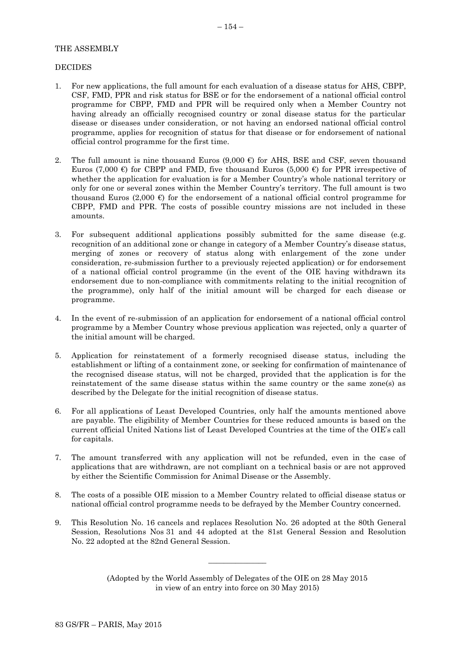#### THE ASSEMBLY

#### DECIDES

- 1. For new applications, the full amount for each evaluation of a disease status for AHS, CBPP, CSF, FMD, PPR and risk status for BSE or for the endorsement of a national official control programme for CBPP, FMD and PPR will be required only when a Member Country not having already an officially recognised country or zonal disease status for the particular disease or diseases under consideration, or not having an endorsed national official control programme, applies for recognition of status for that disease or for endorsement of national official control programme for the first time.
- 2. The full amount is nine thousand Euros  $(9,000 \text{ } \text{E})$  for AHS, BSE and CSF, seven thousand Euros (7,000  $\epsilon$ ) for CBPP and FMD, five thousand Euros (5,000  $\epsilon$ ) for PPR irrespective of whether the application for evaluation is for a Member Country's whole national territory or only for one or several zones within the Member Country's territory. The full amount is two thousand Euros (2,000  $\epsilon$ ) for the endorsement of a national official control programme for CBPP, FMD and PPR. The costs of possible country missions are not included in these amounts.
- 3. For subsequent additional applications possibly submitted for the same disease (e.g. recognition of an additional zone or change in category of a Member Country's disease status, merging of zones or recovery of status along with enlargement of the zone under consideration, re-submission further to a previously rejected application) or for endorsement of a national official control programme (in the event of the OIE having withdrawn its endorsement due to non-compliance with commitments relating to the initial recognition of the programme), only half of the initial amount will be charged for each disease or programme.
- 4. In the event of re-submission of an application for endorsement of a national official control programme by a Member Country whose previous application was rejected, only a quarter of the initial amount will be charged.
- 5. Application for reinstatement of a formerly recognised disease status, including the establishment or lifting of a containment zone, or seeking for confirmation of maintenance of the recognised disease status, will not be charged, provided that the application is for the reinstatement of the same disease status within the same country or the same zone(s) as described by the Delegate for the initial recognition of disease status.
- 6. For all applications of Least Developed Countries, only half the amounts mentioned above are payable. The eligibility of Member Countries for these reduced amounts is based on the current official United Nations list of Least Developed Countries at the time of the OIE's call for capitals.
- 7. The amount transferred with any application will not be refunded, even in the case of applications that are withdrawn, are not compliant on a technical basis or are not approved by either the Scientific Commission for Animal Disease or the Assembly.
- 8. The costs of a possible OIE mission to a Member Country related to official disease status or national official control programme needs to be defrayed by the Member Country concerned.
- 9. This Resolution No. 16 cancels and replaces Resolution No. 26 adopted at the 80th General Session, Resolutions Nos 31 and 44 adopted at the 81st General Session and Resolution No. 22 adopted at the 82nd General Session.

 $\overline{\phantom{a}}$  , where  $\overline{\phantom{a}}$ 

<sup>(</sup>Adopted by the World Assembly of Delegates of the OIE on 28 May 2015 in view of an entry into force on 30 May 2015)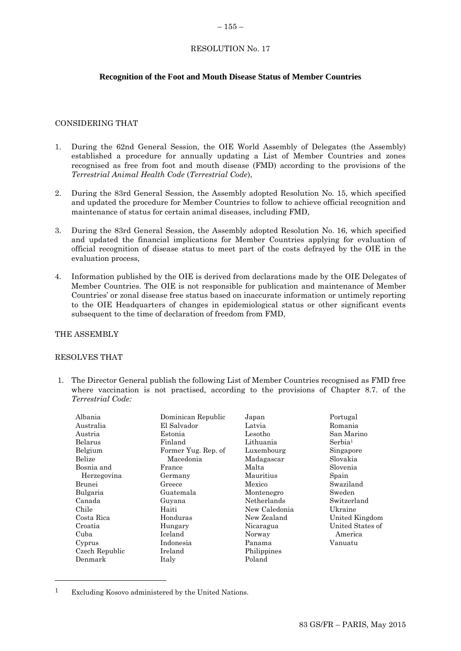#### <span id="page-26-0"></span> $-155-$

### RESOLUTION No. 17

### **Recognition of the Foot and Mouth Disease Status of Member Countries**

#### CONSIDERING THAT

- 1. During the 62nd General Session, the OIE World Assembly of Delegates (the Assembly) established a procedure for annually updating a List of Member Countries and zones recognised as free from foot and mouth disease (FMD) according to the provisions of the *Terrestrial Animal Health Code* (*Terrestrial Code*),
- 2. During the 83rd General Session, the Assembly adopted Resolution No. 15, which specified and updated the procedure for Member Countries to follow to achieve official recognition and maintenance of status for certain animal diseases, including FMD,
- 3. During the 83rd General Session, the Assembly adopted Resolution No. 16, which specified and updated the financial implications for Member Countries applying for evaluation of official recognition of disease status to meet part of the costs defrayed by the OIE in the evaluation process,
- 4. Information published by the OIE is derived from declarations made by the OIE Delegates of Member Countries. The OIE is not responsible for publication and maintenance of Member Countries' or zonal disease free status based on inaccurate information or untimely reporting to the OIE Headquarters of changes in epidemiological status or other significant events subsequent to the time of declaration of freedom from FMD,

#### THE ASSEMBLY

#### RESOLVES THAT

l

1. The Director General publish the following List of Member Countries recognised as FMD free where vaccination is not practised, according to the provisions of Chapter 8.7. of the *Terrestrial Code:*

| Albania        | Dominican Republic  | Japan         | Portugal            |
|----------------|---------------------|---------------|---------------------|
| Australia      | El Salvador         | Latvia        | Romania             |
| Austria        | Estonia             | Lesotho       | San Marino          |
| Belarus        | Finland             | Lithuania     | Serbia <sup>1</sup> |
| Belgium        | Former Yug. Rep. of | Luxembourg    | Singapore           |
| Belize         | Macedonia           | Madagascar    | Slovakia            |
| Bosnia and     | France              | Malta         | Slovenia            |
| Herzegovina    | Germany             | Mauritius     | Spain               |
| Brunei         | Greece              | Mexico        | Swaziland           |
| Bulgaria       | Guatemala           | Montenegro    | Sweden              |
| Canada         | Guyana              | Netherlands   | Switzerland         |
| Chile          | Haiti               | New Caledonia | Ukraine             |
| Costa Rica     | Honduras            | New Zealand   | United Kingdom      |
| Croatia        | Hungary             | Nicaragua     | United States of    |
| Cuba           | Iceland             | Norway        | America             |
| Cyprus         | Indonesia           | Panama        | Vanuatu             |
| Czech Republic | Ireland             | Philippines   |                     |
| Denmark        | Italy               | Poland        |                     |

<sup>1</sup> Excluding Kosovo administered by the United Nations.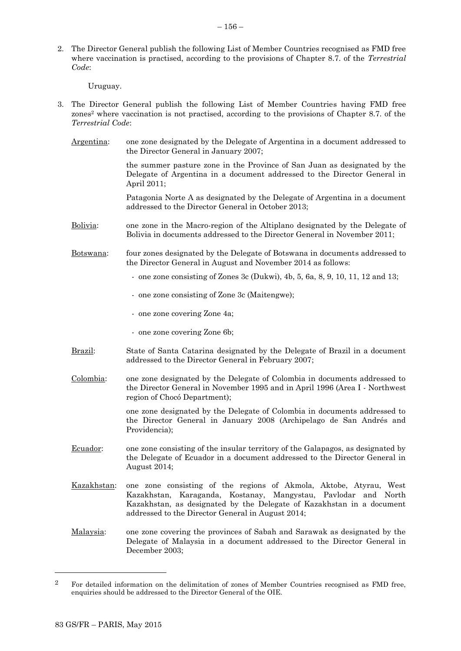2. The Director General publish the following List of Member Countries recognised as FMD free where vaccination is practised, according to the provisions of Chapter 8.7. of the *Terrestrial Code*:

Uruguay.

- 3. The Director General publish the following List of Member Countries having FMD free zones<sup>2</sup> where vaccination is not practised, according to the provisions of Chapter 8.7. of the *Terrestrial Code*:
	- Argentina: one zone designated by the Delegate of Argentina in a document addressed to the Director General in January 2007;

the summer pasture zone in the Province of San Juan as designated by the Delegate of Argentina in a document addressed to the Director General in April 2011;

Patagonia Norte A as designated by the Delegate of Argentina in a document addressed to the Director General in October 2013;

- Bolivia: one zone in the Macro-region of the Altiplano designated by the Delegate of Bolivia in documents addressed to the Director General in November 2011;
- Botswana: four zones designated by the Delegate of Botswana in documents addressed to the Director General in August and November 2014 as follows:
	- one zone consisting of Zones 3c (Dukwi), 4b, 5, 6a, 8, 9, 10, 11, 12 and 13;
	- one zone consisting of Zone 3c (Maitengwe);
	- one zone covering Zone 4a;
	- one zone covering Zone 6b;
- Brazil: State of Santa Catarina designated by the Delegate of Brazil in a document addressed to the Director General in February 2007;
- Colombia: one zone designated by the Delegate of Colombia in documents addressed to the Director General in November 1995 and in April 1996 (Area I - Northwest region of Chocó Department);

one zone designated by the Delegate of Colombia in documents addressed to the Director General in January 2008 (Archipelago de San Andrés and Providencia);

- Ecuador: one zone consisting of the insular territory of the Galapagos, as designated by the Delegate of Ecuador in a document addressed to the Director General in August 2014;
- Kazakhstan: one zone consisting of the regions of Akmola, Aktobe, Atyrau, West Kazakhstan, Karaganda, Kostanay, Mangystau, Pavlodar and North Kazakhstan, as designated by the Delegate of Kazakhstan in a document addressed to the Director General in August 2014;
- Malaysia: one zone covering the provinces of Sabah and Sarawak as designated by the Delegate of Malaysia in a document addressed to the Director General in December 2003;

l

 $2^2$  For detailed information on the delimitation of zones of Member Countries recognised as FMD free, enquiries should be addressed to the Director General of the OIE.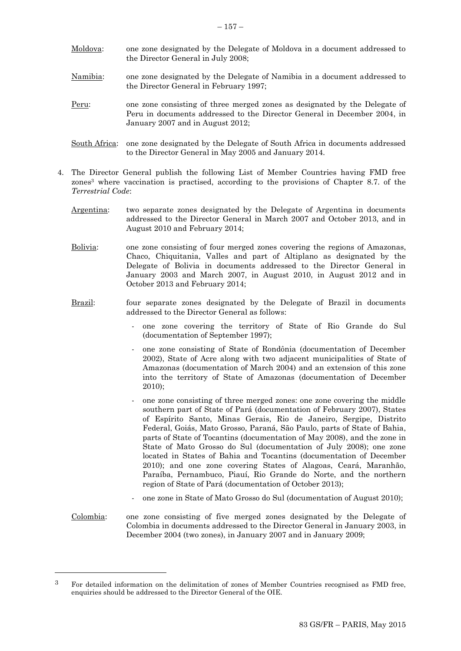- Moldova: one zone designated by the Delegate of Moldova in a document addressed to the Director General in July 2008;
- Namibia: one zone designated by the Delegate of Namibia in a document addressed to the Director General in February 1997;
- Peru: one zone consisting of three merged zones as designated by the Delegate of Peru in documents addressed to the Director General in December 2004, in January 2007 and in August 2012;
- South Africa: one zone designated by the Delegate of South Africa in documents addressed to the Director General in May 2005 and January 2014.
- 4. The Director General publish the following List of Member Countries having FMD free zones<sup>3</sup> where vaccination is practised, according to the provisions of Chapter 8.7. of the *Terrestrial Code*:
	- Argentina: two separate zones designated by the Delegate of Argentina in documents addressed to the Director General in March 2007 and October 2013, and in August 2010 and February 2014;
	- Bolivia: one zone consisting of four merged zones covering the regions of Amazonas, Chaco, Chiquitania, Valles and part of Altiplano as designated by the Delegate of Bolivia in documents addressed to the Director General in January 2003 and March 2007, in August 2010, in August 2012 and in October 2013 and February 2014;
	- Brazil: four separate zones designated by the Delegate of Brazil in documents addressed to the Director General as follows:
		- one zone covering the territory of State of Rio Grande do Sul (documentation of September 1997);
		- one zone consisting of State of Rondônia (documentation of December 2002), State of Acre along with two adjacent municipalities of State of Amazonas (documentation of March 2004) and an extension of this zone into the territory of State of Amazonas (documentation of December 2010);
		- one zone consisting of three merged zones: one zone covering the middle southern part of State of Pará (documentation of February 2007), States of Espírito Santo, Minas Gerais, Rio de Janeiro, Sergipe, Distrito Federal, Goiás, Mato Grosso, Paraná, São Paulo, parts of State of Bahia, parts of State of Tocantins (documentation of May 2008), and the zone in State of Mato Grosso do Sul (documentation of July 2008); one zone located in States of Bahia and Tocantins (documentation of December 2010); and one zone covering States of Alagoas, Ceará, Maranhão, Paraíba, Pernambuco, Piauí, Rio Grande do Norte, and the northern region of State of Pará (documentation of October 2013);
		- one zone in State of Mato Grosso do Sul (documentation of August 2010);
	- Colombia: one zone consisting of five merged zones designated by the Delegate of Colombia in documents addressed to the Director General in January 2003, in December 2004 (two zones), in January 2007 and in January 2009;

l

 $3$  For detailed information on the delimitation of zones of Member Countries recognised as FMD free, enquiries should be addressed to the Director General of the OIE.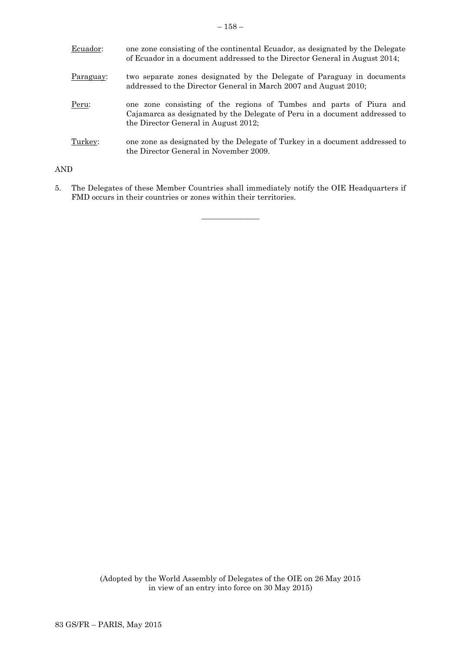| Ecuador:  | one zone consisting of the continental Ecuador, as designated by the Delegate<br>of Ecuador in a document addressed to the Director General in August 2014;                               |
|-----------|-------------------------------------------------------------------------------------------------------------------------------------------------------------------------------------------|
| Paraguay: | two separate zones designated by the Delegate of Paraguay in documents<br>addressed to the Director General in March 2007 and August 2010;                                                |
| Peru:     | one zone consisting of the regions of Tumbes and parts of Piura and<br>Cajamarca as designated by the Delegate of Peru in a document addressed to<br>the Director General in August 2012; |
| Turkey:   | one zone as designated by the Delegate of Turkey in a document addressed to<br>the Director General in November 2009.                                                                     |

AND

5. The Delegates of these Member Countries shall immediately notify the OIE Headquarters if FMD occurs in their countries or zones within their territories.

 $\overline{\phantom{a}}$  , where  $\overline{\phantom{a}}$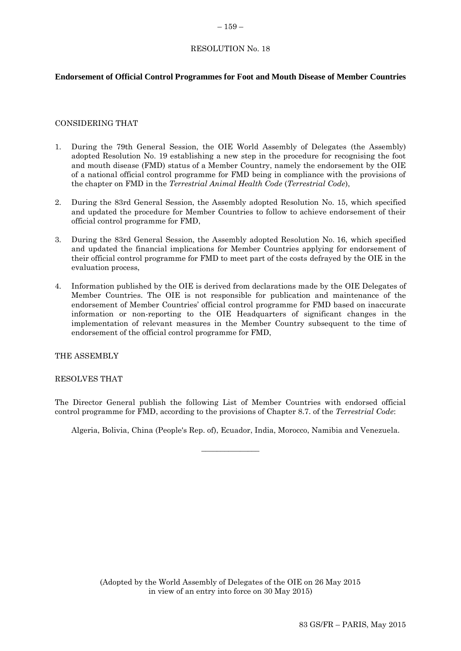#### <span id="page-30-0"></span>RESOLUTION No. 18

### **Endorsement of Official Control Programmes for Foot and Mouth Disease of Member Countries**

### CONSIDERING THAT

- 1. During the 79th General Session, the OIE World Assembly of Delegates (the Assembly) adopted Resolution No. 19 establishing a new step in the procedure for recognising the foot and mouth disease (FMD) status of a Member Country, namely the endorsement by the OIE of a national official control programme for FMD being in compliance with the provisions of the chapter on FMD in the *Terrestrial Animal Health Code* (*Terrestrial Code*),
- 2. During the 83rd General Session, the Assembly adopted Resolution No. 15, which specified and updated the procedure for Member Countries to follow to achieve endorsement of their official control programme for FMD,
- 3. During the 83rd General Session, the Assembly adopted Resolution No. 16, which specified and updated the financial implications for Member Countries applying for endorsement of their official control programme for FMD to meet part of the costs defrayed by the OIE in the evaluation process,
- 4. Information published by the OIE is derived from declarations made by the OIE Delegates of Member Countries. The OIE is not responsible for publication and maintenance of the endorsement of Member Countries' official control programme for FMD based on inaccurate information or non-reporting to the OIE Headquarters of significant changes in the implementation of relevant measures in the Member Country subsequent to the time of endorsement of the official control programme for FMD,

#### THE ASSEMBLY

### RESOLVES THAT

The Director General publish the following List of Member Countries with endorsed official control programme for FMD, according to the provisions of Chapter 8.7. of the *Terrestrial Code*:

\_\_\_\_\_\_\_\_\_\_\_\_\_\_\_

Algeria, Bolivia, China (People's Rep. of), Ecuador, India, Morocco, Namibia and Venezuela.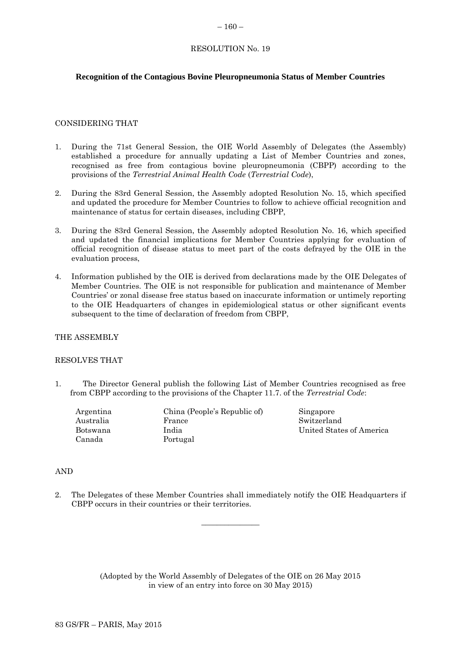### <span id="page-31-0"></span>RESOLUTION No. 19

### **Recognition of the Contagious Bovine Pleuropneumonia Status of Member Countries**

#### CONSIDERING THAT

- 1. During the 71st General Session, the OIE World Assembly of Delegates (the Assembly) established a procedure for annually updating a List of Member Countries and zones, recognised as free from contagious bovine pleuropneumonia (CBPP) according to the provisions of the *Terrestrial Animal Health Code* (*Terrestrial Code*),
- 2. During the 83rd General Session, the Assembly adopted Resolution No. 15, which specified and updated the procedure for Member Countries to follow to achieve official recognition and maintenance of status for certain diseases, including CBPP,
- 3. During the 83rd General Session, the Assembly adopted Resolution No. 16, which specified and updated the financial implications for Member Countries applying for evaluation of official recognition of disease status to meet part of the costs defrayed by the OIE in the evaluation process,
- 4. Information published by the OIE is derived from declarations made by the OIE Delegates of Member Countries. The OIE is not responsible for publication and maintenance of Member Countries' or zonal disease free status based on inaccurate information or untimely reporting to the OIE Headquarters of changes in epidemiological status or other significant events subsequent to the time of declaration of freedom from CBPP,

### THE ASSEMBLY

#### RESOLVES THAT

- 1. The Director General publish the following List of Member Countries recognised as free from CBPP according to the provisions of the Chapter 11.7. of the *Terrestrial Code*:
	- Argentina Australia Botswana Canada

China (People's Republic of) France India Portugal

Singapore Switzerland United States of America

AND

2. The Delegates of these Member Countries shall immediately notify the OIE Headquarters if CBPP occurs in their countries or their territories.

\_\_\_\_\_\_\_\_\_\_\_\_\_\_\_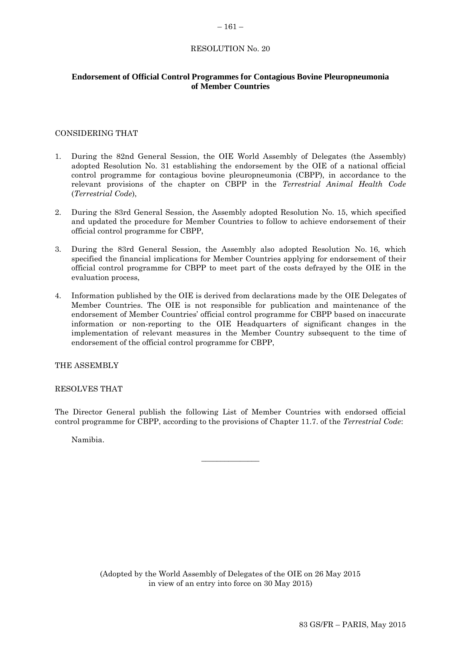#### <span id="page-32-0"></span> $-161-$

#### RESOLUTION No. 20

### **Endorsement of Official Control Programmes for Contagious Bovine Pleuropneumonia of Member Countries**

#### CONSIDERING THAT

- 1. During the 82nd General Session, the OIE World Assembly of Delegates (the Assembly) adopted Resolution No. 31 establishing the endorsement by the OIE of a national official control programme for contagious bovine pleuropneumonia (CBPP), in accordance to the relevant provisions of the chapter on CBPP in the *Terrestrial Animal Health Code* (*Terrestrial Code*),
- 2. During the 83rd General Session, the Assembly adopted Resolution No. 15, which specified and updated the procedure for Member Countries to follow to achieve endorsement of their official control programme for CBPP,
- 3. During the 83rd General Session, the Assembly also adopted Resolution No. 16, which specified the financial implications for Member Countries applying for endorsement of their official control programme for CBPP to meet part of the costs defrayed by the OIE in the evaluation process,
- 4. Information published by the OIE is derived from declarations made by the OIE Delegates of Member Countries. The OIE is not responsible for publication and maintenance of the endorsement of Member Countries' official control programme for CBPP based on inaccurate information or non-reporting to the OIE Headquarters of significant changes in the implementation of relevant measures in the Member Country subsequent to the time of endorsement of the official control programme for CBPP,

THE ASSEMBLY

#### RESOLVES THAT

The Director General publish the following List of Member Countries with endorsed official control programme for CBPP, according to the provisions of Chapter 11.7. of the *Terrestrial Code*:

\_\_\_\_\_\_\_\_\_\_\_\_\_\_\_

Namibia.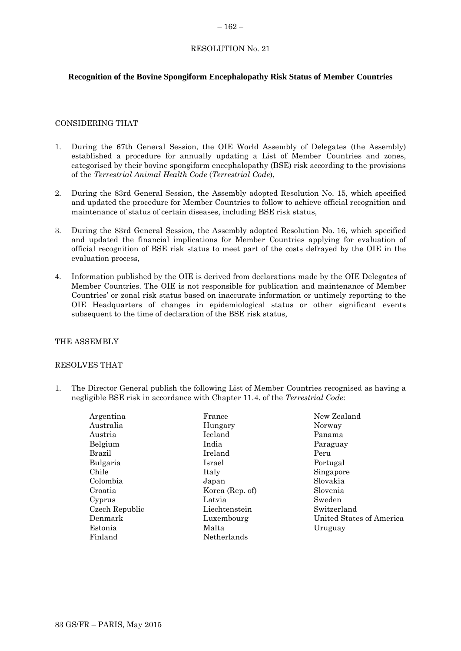### <span id="page-33-0"></span>RESOLUTION No. 21

### **Recognition of the Bovine Spongiform Encephalopathy Risk Status of Member Countries**

### CONSIDERING THAT

- 1. During the 67th General Session, the OIE World Assembly of Delegates (the Assembly) established a procedure for annually updating a List of Member Countries and zones, categorised by their bovine spongiform encephalopathy (BSE) risk according to the provisions of the *Terrestrial Animal Health Code* (*Terrestrial Code*),
- 2. During the 83rd General Session, the Assembly adopted Resolution No. 15, which specified and updated the procedure for Member Countries to follow to achieve official recognition and maintenance of status of certain diseases, including BSE risk status,
- 3. During the 83rd General Session, the Assembly adopted Resolution No. 16, which specified and updated the financial implications for Member Countries applying for evaluation of official recognition of BSE risk status to meet part of the costs defrayed by the OIE in the evaluation process,
- 4. Information published by the OIE is derived from declarations made by the OIE Delegates of Member Countries. The OIE is not responsible for publication and maintenance of Member Countries' or zonal risk status based on inaccurate information or untimely reporting to the OIE Headquarters of changes in epidemiological status or other significant events subsequent to the time of declaration of the BSE risk status,

### THE ASSEMBLY

#### RESOLVES THAT

1. The Director General publish the following List of Member Countries recognised as having a negligible BSE risk in accordance with Chapter 11.4. of the *Terrestrial Code*:

| Argentina      | France          | New Zealand              |
|----------------|-----------------|--------------------------|
| Australia      | Hungary         | Norway                   |
| Austria        | Iceland         | Panama                   |
| Belgium        | India           | Paraguay                 |
| Brazil         | Ireland         | Peru                     |
| Bulgaria       | Israel          | Portugal                 |
| Chile          | Italy           | Singapore                |
| Colombia       | Japan           | Slovakia                 |
| Croatia        | Korea (Rep. of) | Slovenia                 |
| Cyprus         | Latvia          | Sweden                   |
| Czech Republic | Liechtenstein   | Switzerland              |
| Denmark        | Luxembourg      | United States of America |
| Estonia        | Malta           | Uruguay                  |
| Finland        | Netherlands     |                          |
|                |                 |                          |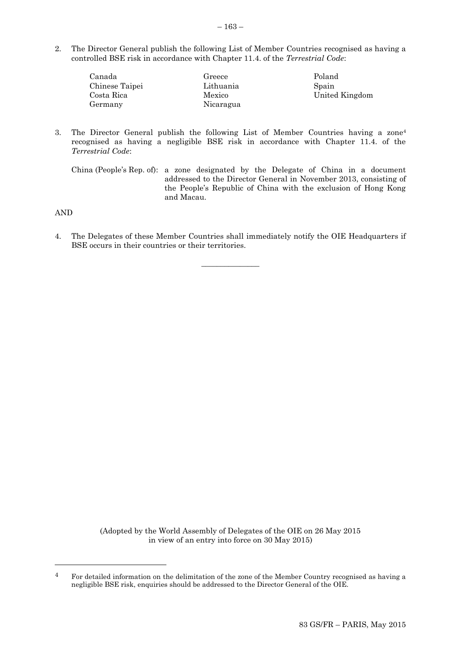2. The Director General publish the following List of Member Countries recognised as having a controlled BSE risk in accordance with Chapter 11.4. of the *Terrestrial Code*:

| Canada         | Greece                   | Poland |
|----------------|--------------------------|--------|
| Chinese Taipei | Lithuania                | Spain  |
| Costa Rica     | United Kingdom<br>Mexico |        |
| Germany        | Nicaragua                |        |

- 3. The Director General publish the following List of Member Countries having a zone<sup>4</sup> recognised as having a negligible BSE risk in accordance with Chapter 11.4. of the *Terrestrial Code*:
	- China (People's Rep. of): a zone designated by the Delegate of China in a document addressed to the Director General in November 2013, consisting of the People's Republic of China with the exclusion of Hong Kong and Macau.

AND

l

4. The Delegates of these Member Countries shall immediately notify the OIE Headquarters if BSE occurs in their countries or their territories.

\_\_\_\_\_\_\_\_\_\_\_\_\_\_\_

<sup>4</sup> For detailed information on the delimitation of the zone of the Member Country recognised as having a negligible BSE risk, enquiries should be addressed to the Director General of the OIE.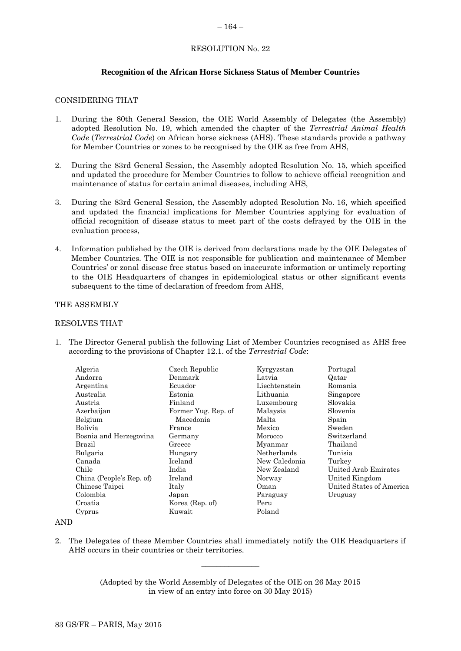#### <span id="page-35-0"></span> $-164-$

### RESOLUTION No. 22

#### **Recognition of the African Horse Sickness Status of Member Countries**

### CONSIDERING THAT

- 1. During the 80th General Session, the OIE World Assembly of Delegates (the Assembly) adopted Resolution No. 19, which amended the chapter of the *Terrestrial Animal Health Code* (*Terrestrial Code*) on African horse sickness (AHS). These standards provide a pathway for Member Countries or zones to be recognised by the OIE as free from AHS,
- 2. During the 83rd General Session, the Assembly adopted Resolution No. 15, which specified and updated the procedure for Member Countries to follow to achieve official recognition and maintenance of status for certain animal diseases, including AHS,
- 3. During the 83rd General Session, the Assembly adopted Resolution No. 16, which specified and updated the financial implications for Member Countries applying for evaluation of official recognition of disease status to meet part of the costs defrayed by the OIE in the evaluation process,
- 4. Information published by the OIE is derived from declarations made by the OIE Delegates of Member Countries. The OIE is not responsible for publication and maintenance of Member Countries' or zonal disease free status based on inaccurate information or untimely reporting to the OIE Headquarters of changes in epidemiological status or other significant events subsequent to the time of declaration of freedom from AHS,

#### THE ASSEMBLY

#### RESOLVES THAT

1. The Director General publish the following List of Member Countries recognised as AHS free according to the provisions of Chapter 12.1. of the *Terrestrial Code*:

| Algeria                  | Czech Republic      | Kyrgyzstan    | Portugal                 |
|--------------------------|---------------------|---------------|--------------------------|
| Andorra                  | Denmark             | Latvia        | Qatar                    |
| Argentina                | Ecuador             | Liechtenstein | Romania                  |
| Australia                | Estonia             | Lithuania     | Singapore                |
| Austria                  | Finland             | Luxembourg    | Slovakia                 |
| Azerbaijan               | Former Yug. Rep. of | Malaysia      | Slovenia                 |
| Belgium                  | Macedonia           | Malta         | Spain                    |
| <b>Bolivia</b>           | France              | Mexico        | Sweden                   |
| Bosnia and Herzegovina   | Germany             | Morocco       | Switzerland              |
| Brazil                   | Greece              | Myanmar       | Thailand                 |
| Bulgaria                 | Hungary             | Netherlands   | Tunisia                  |
| Canada                   | Iceland             | New Caledonia | Turkey                   |
| Chile                    | India               | New Zealand   | United Arab Emirates     |
| China (People's Rep. of) | Ireland             | Norway        | United Kingdom           |
| Chinese Taipei           | Italy               | Oman          | United States of America |
| Colombia                 | Japan               | Paraguay      | Uruguay                  |
| Croatia                  | Korea (Rep. of)     | Peru          |                          |
| Cyprus                   | Kuwait              | Poland        |                          |

### AND

2. The Delegates of these Member Countries shall immediately notify the OIE Headquarters if AHS occurs in their countries or their territories.

\_\_\_\_\_\_\_\_\_\_\_\_\_\_\_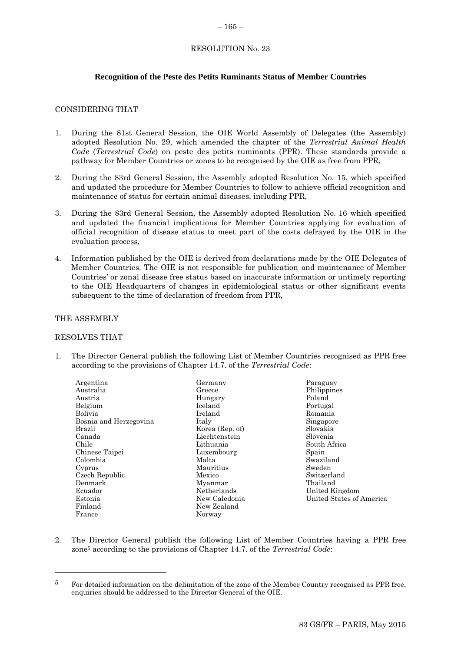#### <span id="page-36-0"></span> $-165-$

### RESOLUTION No. 23

### **Recognition of the Peste des Petits Ruminants Status of Member Countries**

### CONSIDERING THAT

- 1. During the 81st General Session, the OIE World Assembly of Delegates (the Assembly) adopted Resolution No. 29, which amended the chapter of the *Terrestrial Animal Health Code* (*Terrestrial Code*) on peste des petits ruminants (PPR). These standards provide a pathway for Member Countries or zones to be recognised by the OIE as free from PPR,
- 2. During the 83rd General Session, the Assembly adopted Resolution No. 15, which specified and updated the procedure for Member Countries to follow to achieve official recognition and maintenance of status for certain animal diseases, including PPR,
- 3. During the 83rd General Session, the Assembly adopted Resolution No. 16 which specified and updated the financial implications for Member Countries applying for evaluation of official recognition of disease status to meet part of the costs defrayed by the OIE in the evaluation process,
- Information published by the OIE is derived from declarations made by the OIE Delegates of Member Countries. The OIE is not responsible for publication and maintenance of Member Countries' or zonal disease free status based on inaccurate information or untimely reporting to the OIE Headquarters of changes in epidemiological status or other significant events subsequent to the time of declaration of freedom from PPR,

### THE ASSEMBLY

### RESOLVES THAT

l

1. The Director General publish the following List of Member Countries recognised as PPR free according to the provisions of Chapter 14.7. of the *Terrestrial Code*:

| Argentina              |
|------------------------|
| Australia              |
| Austria                |
| Belgium                |
| Bolivia                |
| Bosnia and Herzegovina |
| Brazil                 |
| Canada                 |
| Chile                  |
| Chinese Taipei         |
| Colombia               |
| Cyprus                 |
| Czech Republic         |
| Denmark                |
| Ecuador                |
| Estonia                |
| Finland                |
| France                 |
|                        |

Germany Greece Hungary Iceland Ireland Italy Korea (Rep. of) Liechtenstein Lithuania Luxembourg Malta Mauritius Mexico Myanmar Netherlands New Caledonia New Zealand Norway

Paraguay Philippines Poland Portugal Romania Singapore Slovakia Slovenia South Africa Spain Swaziland Sweden Switzerland Thailand United Kingdom United States of America

2. The Director General publish the following List of Member Countries having a PPR free zone<sup>5</sup> according to the provisions of Chapter 14.7. of the *Terrestrial Code*:

<sup>&</sup>lt;sup>5</sup> For detailed information on the delimitation of the zone of the Member Country recognised as PPR free, enquiries should be addressed to the Director General of the OIE.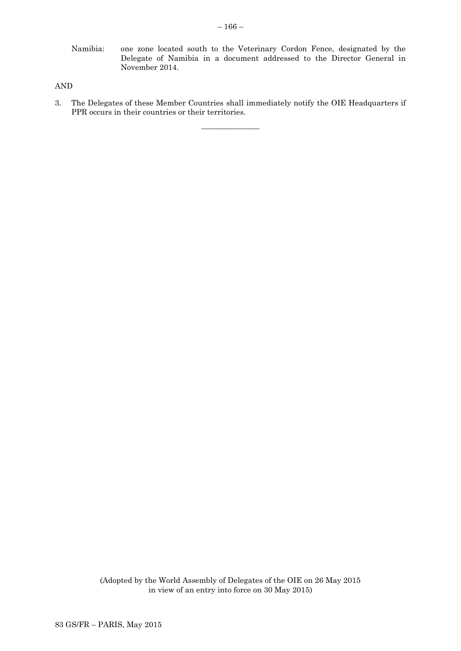Namibia: one zone located south to the Veterinary Cordon Fence, designated by the Delegate of Namibia in a document addressed to the Director General in November 2014.

AND

3. The Delegates of these Member Countries shall immediately notify the OIE Headquarters if PPR occurs in their countries or their territories.

\_\_\_\_\_\_\_\_\_\_\_\_\_\_\_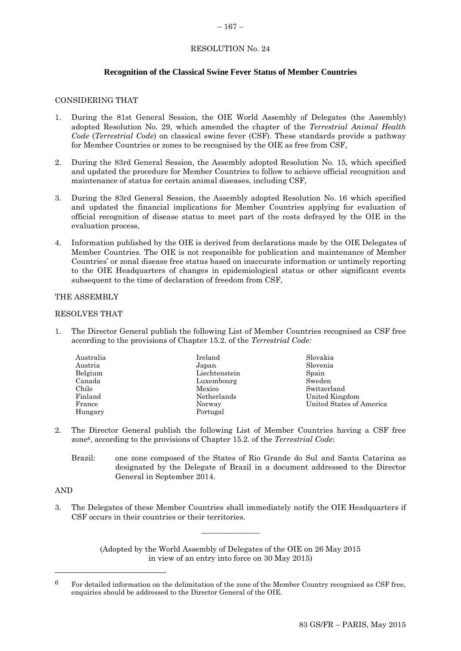#### <span id="page-38-0"></span> $-167-$

#### RESOLUTION No. 24

#### **Recognition of the Classical Swine Fever Status of Member Countries**

#### CONSIDERING THAT

- 1. During the 81st General Session, the OIE World Assembly of Delegates (the Assembly) adopted Resolution No. 29, which amended the chapter of the *Terrestrial Animal Health Code* (*Terrestrial Code*) on classical swine fever (CSF). These standards provide a pathway for Member Countries or zones to be recognised by the OIE as free from CSF,
- 2. During the 83rd General Session, the Assembly adopted Resolution No. 15, which specified and updated the procedure for Member Countries to follow to achieve official recognition and maintenance of status for certain animal diseases, including CSF,
- 3. During the 83rd General Session, the Assembly adopted Resolution No. 16 which specified and updated the financial implications for Member Countries applying for evaluation of official recognition of disease status to meet part of the costs defrayed by the OIE in the evaluation process,
- 4. Information published by the OIE is derived from declarations made by the OIE Delegates of Member Countries. The OIE is not responsible for publication and maintenance of Member Countries' or zonal disease free status based on inaccurate information or untimely reporting to the OIE Headquarters of changes in epidemiological status or other significant events subsequent to the time of declaration of freedom from CSF,

#### THE ASSEMBLY

#### RESOLVES THAT

1. The Director General publish the following List of Member Countries recognised as CSF free according to the provisions of Chapter 15.2. of the *Terrestrial Code:*

| Australia | Ireland       | Slovakia                 |
|-----------|---------------|--------------------------|
| Austria   | Japan         | Slovenia                 |
| Belgium   | Liechtenstein | Spain                    |
| Canada    | Luxembourg    | Sweden                   |
| Chile     | Mexico        | Switzerland              |
| Finland   | Netherlands   | United Kingdom           |
| France    | Norway        | United States of America |
| Hungary   | Portugal      |                          |

- 2. The Director General publish the following List of Member Countries having a CSF free zone6, according to the provisions of Chapter 15.2. of the *Terrestrial Code*:
	- Brazil: one zone composed of the States of Rio Grande do Sul and Santa Catarina as designated by the Delegate of Brazil in a document addressed to the Director General in September 2014.

#### AND

l

3. The Delegates of these Member Countries shall immediately notify the OIE Headquarters if CSF occurs in their countries or their territories.

> (Adopted by the World Assembly of Delegates of the OIE on 26 May 2015 in view of an entry into force on 30 May 2015)

\_\_\_\_\_\_\_\_\_\_\_\_\_\_\_

 $6$  For detailed information on the delimitation of the zone of the Member Country recognised as CSF free, enquiries should be addressed to the Director General of the OIE.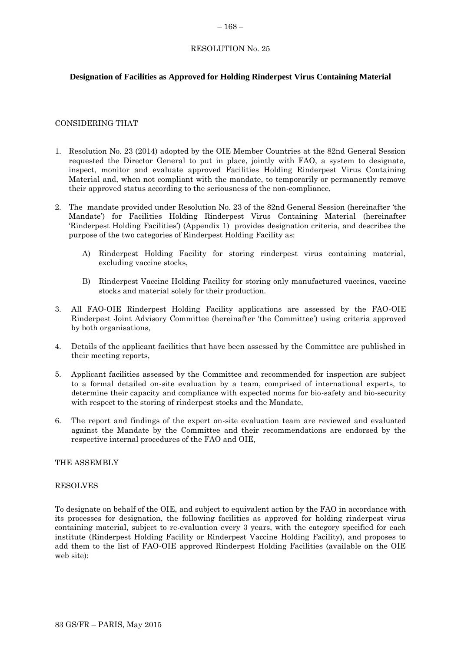### <span id="page-39-0"></span>RESOLUTION No. 25

### **Designation of Facilities as Approved for Holding Rinderpest Virus Containing Material**

### CONSIDERING THAT

- 1. Resolution No. 23 (2014) adopted by the OIE Member Countries at the 82nd General Session requested the Director General to put in place, jointly with FAO, a system to designate, inspect, monitor and evaluate approved Facilities Holding Rinderpest Virus Containing Material and, when not compliant with the mandate, to temporarily or permanently remove their approved status according to the seriousness of the non-compliance,
- 2. The mandate provided under Resolution No. 23 of the 82nd General Session (hereinafter 'the Mandate') for Facilities Holding Rinderpest Virus Containing Material (hereinafter 'Rinderpest Holding Facilities') (Appendix 1) provides designation criteria, and describes the purpose of the two categories of Rinderpest Holding Facility as:
	- A) Rinderpest Holding Facility for storing rinderpest virus containing material, excluding vaccine stocks,
	- B) Rinderpest Vaccine Holding Facility for storing only manufactured vaccines, vaccine stocks and material solely for their production.
- 3. All FAO-OIE Rinderpest Holding Facility applications are assessed by the FAO-OIE Rinderpest Joint Advisory Committee (hereinafter 'the Committee') using criteria approved by both organisations,
- 4. Details of the applicant facilities that have been assessed by the Committee are published in their meeting reports,
- 5. Applicant facilities assessed by the Committee and recommended for inspection are subject to a formal detailed on-site evaluation by a team, comprised of international experts, to determine their capacity and compliance with expected norms for bio-safety and bio-security with respect to the storing of rinderpest stocks and the Mandate,
- 6. The report and findings of the expert on-site evaluation team are reviewed and evaluated against the Mandate by the Committee and their recommendations are endorsed by the respective internal procedures of the FAO and OIE,

#### THE ASSEMBLY

#### RESOLVES

To designate on behalf of the OIE, and subject to equivalent action by the FAO in accordance with its processes for designation, the following facilities as approved for holding rinderpest virus containing material, subject to re-evaluation every 3 years, with the category specified for each institute (Rinderpest Holding Facility or Rinderpest Vaccine Holding Facility), and proposes to add them to the list of FAO-OIE approved Rinderpest Holding Facilities (available on the OIE web site):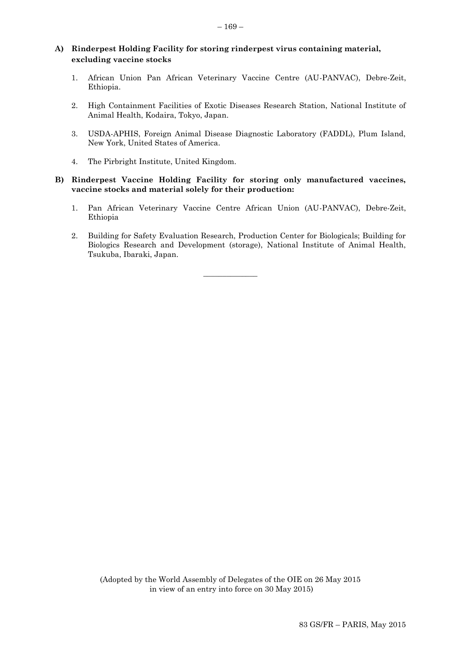### **A) Rinderpest Holding Facility for storing rinderpest virus containing material, excluding vaccine stocks**

- 1. African Union Pan African Veterinary Vaccine Centre (AU-PANVAC), Debre-Zeit, Ethiopia.
- 2. High Containment Facilities of Exotic Diseases Research Station, National Institute of Animal Health, Kodaira, Tokyo, Japan.
- 3. USDA-APHIS, Foreign Animal Disease Diagnostic Laboratory (FADDL), Plum Island, New York, United States of America.
- 4. The Pirbright Institute, United Kingdom.

### **B) Rinderpest Vaccine Holding Facility for storing only manufactured vaccines, vaccine stocks and material solely for their production:**

- 1. Pan African Veterinary Vaccine Centre African Union (AU-PANVAC), Debre-Zeit, Ethiopia
- 2. Building for Safety Evaluation Research, Production Center for Biologicals; Building for Biologics Research and Development (storage), National Institute of Animal Health, Tsukuba, Ibaraki, Japan.

\_\_\_\_\_\_\_\_\_\_\_\_\_\_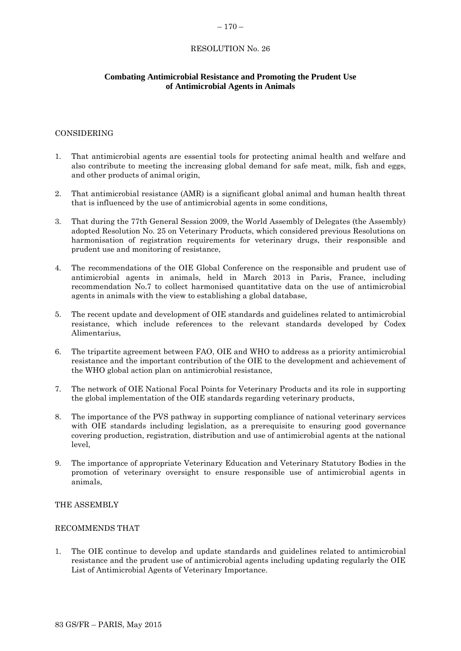#### <span id="page-41-0"></span> $-170-$

### RESOLUTION No. 26

### **Combating Antimicrobial Resistance and Promoting the Prudent Use of Antimicrobial Agents in Animals**

#### **CONSIDERING**

- 1. That antimicrobial agents are essential tools for protecting animal health and welfare and also contribute to meeting the increasing global demand for safe meat, milk, fish and eggs, and other products of animal origin,
- 2. That antimicrobial resistance (AMR) is a significant global animal and human health threat that is influenced by the use of antimicrobial agents in some conditions,
- 3. That during the 77th General Session 2009, the World Assembly of Delegates (the Assembly) adopted Resolution No. 25 on Veterinary Products, which considered previous Resolutions on harmonisation of registration requirements for veterinary drugs, their responsible and prudent use and monitoring of resistance,
- 4. The recommendations of the OIE Global Conference on the responsible and prudent use of antimicrobial agents in animals, held in March 2013 in Paris, France, including recommendation No.7 to collect harmonised quantitative data on the use of antimicrobial agents in animals with the view to establishing a global database,
- 5. The recent update and development of OIE standards and guidelines related to antimicrobial resistance, which include references to the relevant standards developed by Codex Alimentarius,
- 6. The tripartite agreement between FAO, OIE and WHO to address as a priority antimicrobial resistance and the important contribution of the OIE to the development and achievement of the WHO global action plan on antimicrobial resistance,
- 7. The network of OIE National Focal Points for Veterinary Products and its role in supporting the global implementation of the OIE standards regarding veterinary products,
- 8. The importance of the PVS pathway in supporting compliance of national veterinary services with OIE standards including legislation, as a prerequisite to ensuring good governance covering production, registration, distribution and use of antimicrobial agents at the national level,
- 9. The importance of appropriate Veterinary Education and Veterinary Statutory Bodies in the promotion of veterinary oversight to ensure responsible use of antimicrobial agents in animals,

#### THE ASSEMBLY

#### RECOMMENDS THAT

1. The OIE continue to develop and update standards and guidelines related to antimicrobial resistance and the prudent use of antimicrobial agents including updating regularly the OIE List of Antimicrobial Agents of Veterinary Importance.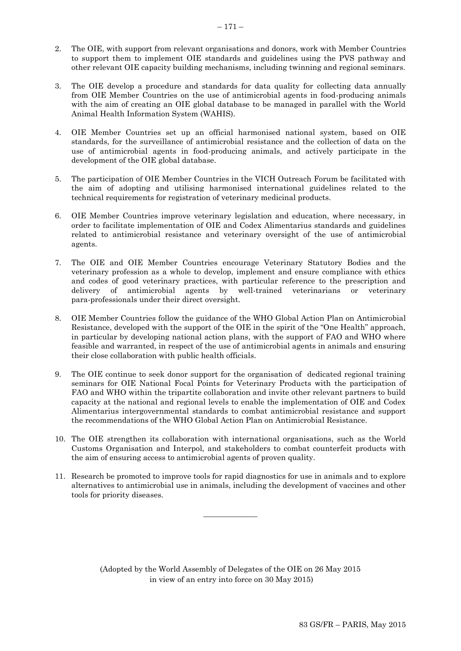- 2. The OIE, with support from relevant organisations and donors, work with Member Countries to support them to implement OIE standards and guidelines using the PVS pathway and other relevant OIE capacity building mechanisms, including twinning and regional seminars.
- 3. The OIE develop a procedure and standards for data quality for collecting data annually from OIE Member Countries on the use of antimicrobial agents in food-producing animals with the aim of creating an OIE global database to be managed in parallel with the World Animal Health Information System (WAHIS).
- 4. OIE Member Countries set up an official harmonised national system, based on OIE standards, for the surveillance of antimicrobial resistance and the collection of data on the use of antimicrobial agents in food-producing animals, and actively participate in the development of the OIE global database.
- 5. The participation of OIE Member Countries in the VICH Outreach Forum be facilitated with the aim of adopting and utilising harmonised international guidelines related to the technical requirements for registration of veterinary medicinal products.
- 6. OIE Member Countries improve veterinary legislation and education, where necessary, in order to facilitate implementation of OIE and Codex Alimentarius standards and guidelines related to antimicrobial resistance and veterinary oversight of the use of antimicrobial agents.
- 7. The OIE and OIE Member Countries encourage Veterinary Statutory Bodies and the veterinary profession as a whole to develop, implement and ensure compliance with ethics and codes of good veterinary practices, with particular reference to the prescription and delivery of antimicrobial agents by well-trained veterinarians or veterinary para-professionals under their direct oversight.
- 8. OIE Member Countries follow the guidance of the WHO Global Action Plan on Antimicrobial Resistance, developed with the support of the OIE in the spirit of the "One Health" approach, in particular by developing national action plans, with the support of FAO and WHO where feasible and warranted, in respect of the use of antimicrobial agents in animals and ensuring their close collaboration with public health officials.
- 9. The OIE continue to seek donor support for the organisation of dedicated regional training seminars for OIE National Focal Points for Veterinary Products with the participation of FAO and WHO within the tripartite collaboration and invite other relevant partners to build capacity at the national and regional levels to enable the implementation of OIE and Codex Alimentarius intergovernmental standards to combat antimicrobial resistance and support the recommendations of the WHO Global Action Plan on Antimicrobial Resistance.
- 10. The OIE strengthen its collaboration with international organisations, such as the World Customs Organisation and Interpol, and stakeholders to combat counterfeit products with the aim of ensuring access to antimicrobial agents of proven quality.
- 11. Research be promoted to improve tools for rapid diagnostics for use in animals and to explore alternatives to antimicrobial use in animals, including the development of vaccines and other tools for priority diseases.

 $\overline{\phantom{a}}$  , where  $\overline{\phantom{a}}$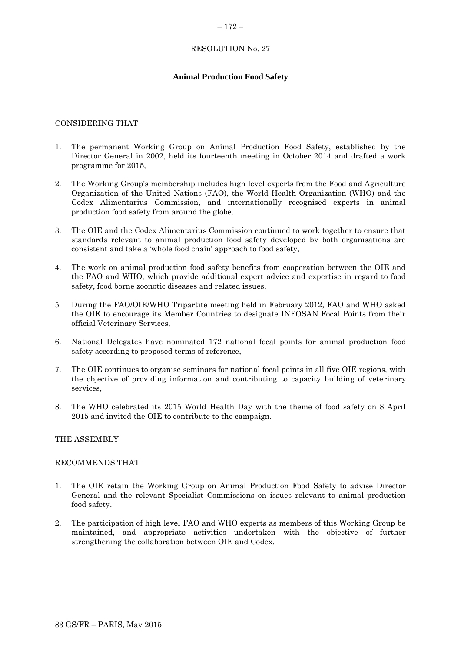#### <span id="page-43-0"></span>– 172 –

### RESOLUTION No. 27

### **Animal Production Food Safety**

### CONSIDERING THAT

- 1. The permanent Working Group on Animal Production Food Safety, established by the Director General in 2002, held its fourteenth meeting in October 2014 and drafted a work programme for 2015,
- 2. The Working Group's membership includes high level experts from the Food and Agriculture Organization of the United Nations (FAO), the World Health Organization (WHO) and the Codex Alimentarius Commission, and internationally recognised experts in animal production food safety from around the globe.
- 3. The OIE and the Codex Alimentarius Commission continued to work together to ensure that standards relevant to animal production food safety developed by both organisations are consistent and take a 'whole food chain' approach to food safety,
- 4. The work on animal production food safety benefits from cooperation between the OIE and the FAO and WHO, which provide additional expert advice and expertise in regard to food safety, food borne zoonotic diseases and related issues,
- 5 During the FAO/OIE/WHO Tripartite meeting held in February 2012, FAO and WHO asked the OIE to encourage its Member Countries to designate INFOSAN Focal Points from their official Veterinary Services,
- 6. National Delegates have nominated 172 national focal points for animal production food safety according to proposed terms of reference,
- 7. The OIE continues to organise seminars for national focal points in all five OIE regions, with the objective of providing information and contributing to capacity building of veterinary services,
- 8. The WHO celebrated its 2015 World Health Day with the theme of food safety on 8 April 2015 and invited the OIE to contribute to the campaign.

#### THE ASSEMBLY

#### RECOMMENDS THAT

- 1. The OIE retain the Working Group on Animal Production Food Safety to advise Director General and the relevant Specialist Commissions on issues relevant to animal production food safety.
- 2. The participation of high level FAO and WHO experts as members of this Working Group be maintained, and appropriate activities undertaken with the objective of further strengthening the collaboration between OIE and Codex.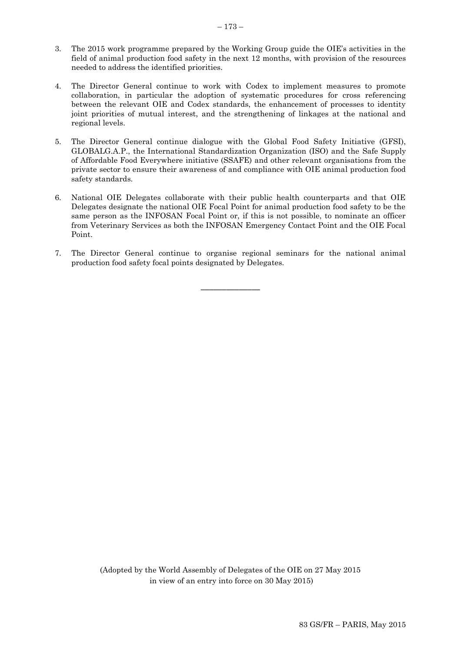- 3. The 2015 work programme prepared by the Working Group guide the OIE's activities in the field of animal production food safety in the next 12 months, with provision of the resources needed to address the identified priorities.
- 4. The Director General continue to work with Codex to implement measures to promote collaboration, in particular the adoption of systematic procedures for cross referencing between the relevant OIE and Codex standards, the enhancement of processes to identity joint priorities of mutual interest, and the strengthening of linkages at the national and regional levels.
- 5. The Director General continue dialogue with the Global Food Safety Initiative (GFSI), GLOBALG.A.P., the International Standardization Organization (ISO) and the Safe Supply of Affordable Food Everywhere initiative (SSAFE) and other relevant organisations from the private sector to ensure their awareness of and compliance with OIE animal production food safety standards.
- 6. National OIE Delegates collaborate with their public health counterparts and that OIE Delegates designate the national OIE Focal Point for animal production food safety to be the same person as the INFOSAN Focal Point or, if this is not possible, to nominate an officer from Veterinary Services as both the INFOSAN Emergency Contact Point and the OIE Focal Point.
- 7. The Director General continue to organise regional seminars for the national animal production food safety focal points designated by Delegates.

\_\_\_\_\_\_\_\_\_\_\_\_\_\_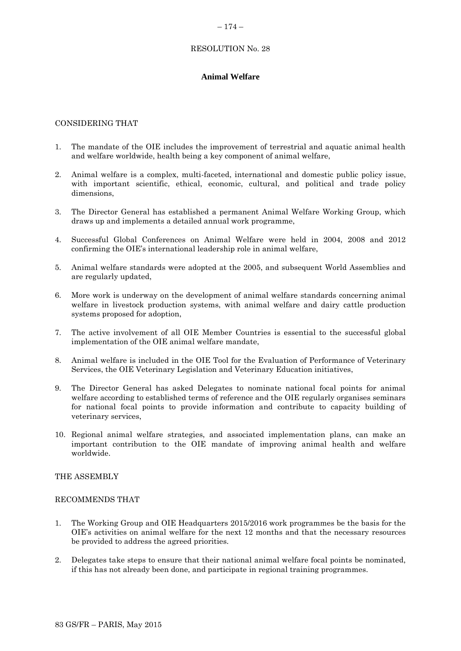### RESOLUTION No. 28

### <span id="page-45-0"></span>**Animal Welfare**

### CONSIDERING THAT

- 1. The mandate of the OIE includes the improvement of terrestrial and aquatic animal health and welfare worldwide, health being a key component of animal welfare,
- 2. Animal welfare is a complex, multi-faceted, international and domestic public policy issue, with important scientific, ethical, economic, cultural, and political and trade policy dimensions,
- 3. The Director General has established a permanent Animal Welfare Working Group, which draws up and implements a detailed annual work programme,
- 4. Successful Global Conferences on Animal Welfare were held in 2004, 2008 and 2012 confirming the OIE's international leadership role in animal welfare,
- 5. Animal welfare standards were adopted at the 2005, and subsequent World Assemblies and are regularly updated,
- 6. More work is underway on the development of animal welfare standards concerning animal welfare in livestock production systems, with animal welfare and dairy cattle production systems proposed for adoption,
- 7. The active involvement of all OIE Member Countries is essential to the successful global implementation of the OIE animal welfare mandate,
- 8. Animal welfare is included in the OIE Tool for the Evaluation of Performance of Veterinary Services, the OIE Veterinary Legislation and Veterinary Education initiatives,
- 9. The Director General has asked Delegates to nominate national focal points for animal welfare according to established terms of reference and the OIE regularly organises seminars for national focal points to provide information and contribute to capacity building of veterinary services,
- 10. Regional animal welfare strategies, and associated implementation plans, can make an important contribution to the OIE mandate of improving animal health and welfare worldwide.

#### THE ASSEMBLY

#### RECOMMENDS THAT

- 1. The Working Group and OIE Headquarters 2015/2016 work programmes be the basis for the OIE's activities on animal welfare for the next 12 months and that the necessary resources be provided to address the agreed priorities.
- 2. Delegates take steps to ensure that their national animal welfare focal points be nominated, if this has not already been done, and participate in regional training programmes.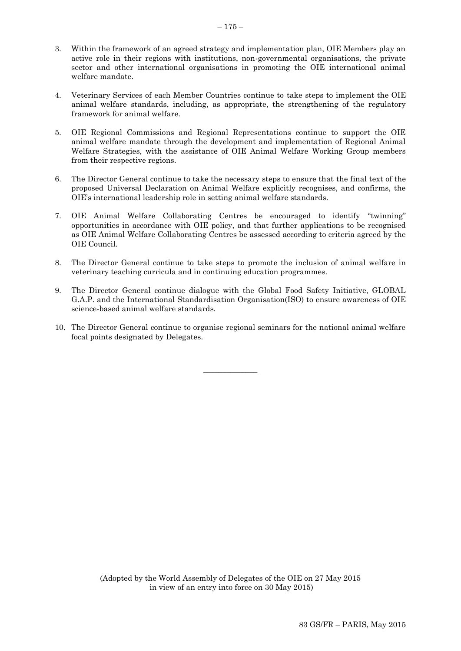- 3. Within the framework of an agreed strategy and implementation plan, OIE Members play an active role in their regions with institutions, non-governmental organisations, the private sector and other international organisations in promoting the OIE international animal welfare mandate.
- 4. Veterinary Services of each Member Countries continue to take steps to implement the OIE animal welfare standards, including, as appropriate, the strengthening of the regulatory framework for animal welfare.
- 5. OIE Regional Commissions and Regional Representations continue to support the OIE animal welfare mandate through the development and implementation of Regional Animal Welfare Strategies, with the assistance of OIE Animal Welfare Working Group members from their respective regions.
- 6. The Director General continue to take the necessary steps to ensure that the final text of the proposed Universal Declaration on Animal Welfare explicitly recognises, and confirms, the OIE's international leadership role in setting animal welfare standards.
- 7. OIE Animal Welfare Collaborating Centres be encouraged to identify "twinning" opportunities in accordance with OIE policy, and that further applications to be recognised as OIE Animal Welfare Collaborating Centres be assessed according to criteria agreed by the OIE Council.
- 8. The Director General continue to take steps to promote the inclusion of animal welfare in veterinary teaching curricula and in continuing education programmes.
- 9. The Director General continue dialogue with the Global Food Safety Initiative, GLOBAL G.A.P. and the International Standardisation Organisation(ISO) to ensure awareness of OIE science-based animal welfare standards.
- 10. The Director General continue to organise regional seminars for the national animal welfare focal points designated by Delegates.

\_\_\_\_\_\_\_\_\_\_\_\_\_\_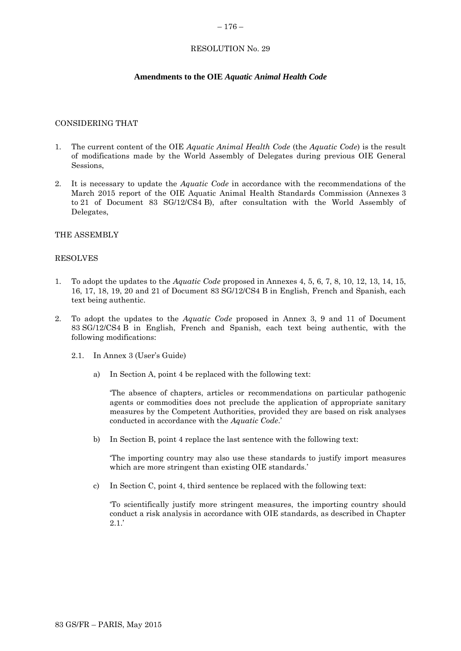#### <span id="page-47-0"></span>– 176 –

### RESOLUTION No. 29

### **Amendments to the OIE** *Aquatic Animal Health Code*

#### CONSIDERING THAT

- 1. The current content of the OIE *Aquatic Animal Health Code* (the *Aquatic Code*) is the result of modifications made by the World Assembly of Delegates during previous OIE General Sessions,
- 2. It is necessary to update the *Aquatic Code* in accordance with the recommendations of the March 2015 report of the OIE Aquatic Animal Health Standards Commission (Annexes 3 to 21 of Document 83 SG/12/CS4 B), after consultation with the World Assembly of Delegates,

#### THE ASSEMBLY

#### RESOLVES

- 1. To adopt the updates to the *Aquatic Code* proposed in Annexes 4, 5, 6, 7, 8, 10, 12, 13, 14, 15, 16, 17, 18, 19, 20 and 21 of Document 83 SG/12/CS4 B in English, French and Spanish, each text being authentic.
- 2. To adopt the updates to the *Aquatic Code* proposed in Annex 3, 9 and 11 of Document 83 SG/12/CS4 B in English, French and Spanish, each text being authentic, with the following modifications:
	- 2.1. In Annex 3 (User's Guide)
		- a) In Section A, point 4 be replaced with the following text:

'The absence of chapters, articles or recommendations on particular pathogenic agents or commodities does not preclude the application of appropriate sanitary measures by the Competent Authorities, provided they are based on risk analyses conducted in accordance with the *Aquatic Code*.'

b) In Section B, point 4 replace the last sentence with the following text:

'The importing country may also use these standards to justify import measures which are more stringent than existing OIE standards.'

c) In Section C, point 4, third sentence be replaced with the following text:

'To scientifically justify more stringent measures, the importing country should conduct a risk analysis in accordance with OIE standards, as described in Chapter 2.1.'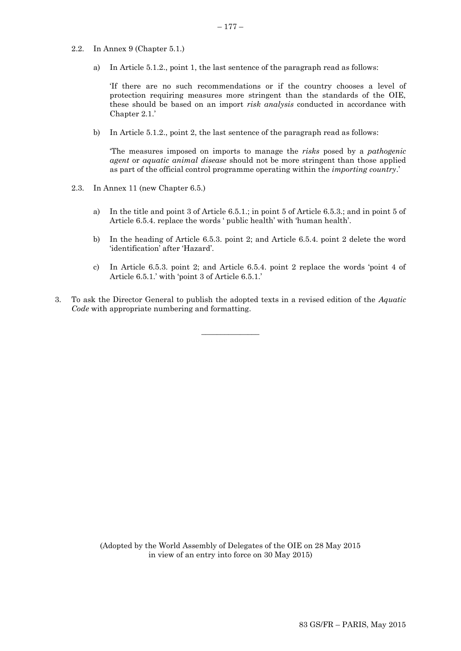- 2.2. In Annex 9 (Chapter 5.1.)
	- a) In Article 5.1.2., point 1, the last sentence of the paragraph read as follows:

'If there are no such recommendations or if the country chooses a level of protection requiring measures more stringent than the standards of the OIE, these should be based on an import *risk analysis* conducted in accordance with Chapter 2.1.'

b) In Article 5.1.2., point 2, the last sentence of the paragraph read as follows:

'The measures imposed on imports to manage the *risks* posed by a *pathogenic agent* or *aquatic animal disease* should not be more stringent than those applied as part of the official control programme operating within the *importing country*.'

- 2.3. In Annex 11 (new Chapter 6.5.)
	- a) In the title and point 3 of Article 6.5.1.; in point 5 of Article 6.5.3.; and in point 5 of Article 6.5.4. replace the words ' public health' with 'human health'.
	- b) In the heading of Article 6.5.3. point 2; and Article 6.5.4. point 2 delete the word 'identification' after 'Hazard'.
	- c) In Article 6.5.3. point 2; and Article 6.5.4. point 2 replace the words 'point 4 of Article 6.5.1.' with 'point 3 of Article 6.5.1.'
- 3. To ask the Director General to publish the adopted texts in a revised edition of the *Aquatic Code* with appropriate numbering and formatting.

\_\_\_\_\_\_\_\_\_\_\_\_\_\_\_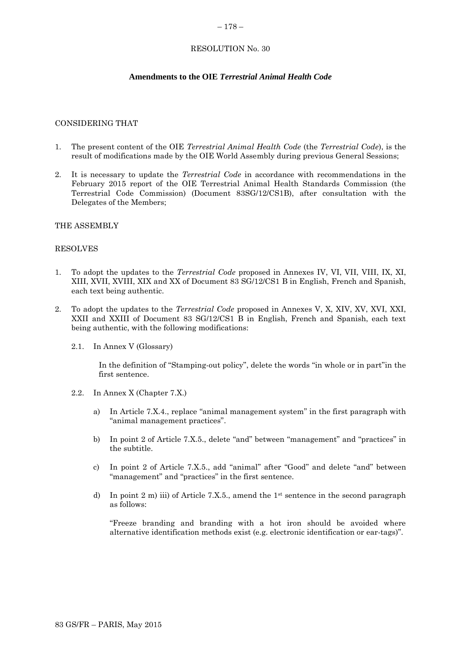#### <span id="page-49-0"></span>– 178 –

### RESOLUTION No. 30

### **Amendments to the OIE** *Terrestrial Animal Health Code*

#### CONSIDERING THAT

- 1. The present content of the OIE *Terrestrial Animal Health Code* (the *Terrestrial Code*), is the result of modifications made by the OIE World Assembly during previous General Sessions;
- 2. It is necessary to update the *Terrestrial Code* in accordance with recommendations in the February 2015 report of the OIE Terrestrial Animal Health Standards Commission (the Terrestrial Code Commission) (Document 83SG/12/CS1B), after consultation with the Delegates of the Members;

THE ASSEMBLY

#### RESOLVES

- 1. To adopt the updates to the *Terrestrial Code* proposed in Annexes IV, VI, VII, VIII, IX, XI, XIII, XVII, XVIII, XIX and XX of Document 83 SG/12/CS1 B in English, French and Spanish, each text being authentic.
- 2. To adopt the updates to the *Terrestrial Code* proposed in Annexes V, X, XIV, XV, XVI, XXI, XXII and XXIII of Document 83 SG/12/CS1 B in English, French and Spanish, each text being authentic, with the following modifications:
	- 2.1. In Annex V (Glossary)

In the definition of "Stamping-out policy", delete the words "in whole or in part"in the first sentence.

- 2.2. In Annex X (Chapter 7.X.)
	- a) In Article 7.X.4., replace "animal management system" in the first paragraph with "animal management practices".
	- b) In point 2 of Article 7.X.5., delete "and" between "management" and "practices" in the subtitle.
	- c) In point 2 of Article 7.X.5., add "animal" after "Good" and delete "and" between "management" and "practices" in the first sentence.
	- d) In point 2 m) iii) of Article 7.X.5., amend the 1<sup>st</sup> sentence in the second paragraph as follows:

"Freeze branding and branding with a hot iron should be avoided where alternative identification methods exist (e.g. electronic identification or ear-tags)".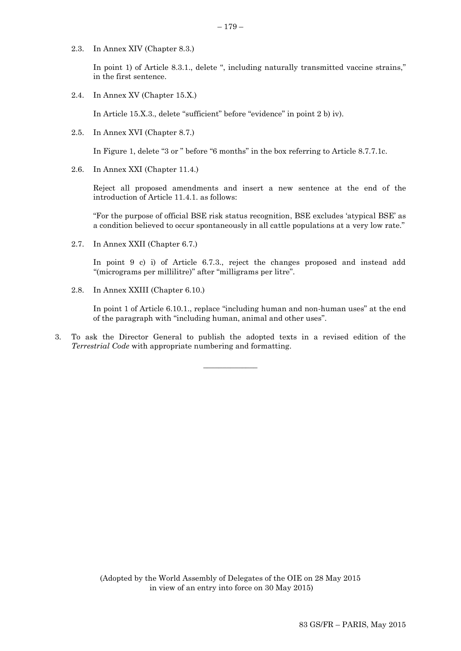2.3. In Annex XIV (Chapter 8.3.)

In point 1) of Article 8.3.1., delete ", including naturally transmitted vaccine strains," in the first sentence.

2.4. In Annex XV (Chapter 15.X.)

In Article 15.X.3., delete "sufficient" before "evidence" in point 2 b) iv).

2.5. In Annex XVI (Chapter 8.7.)

In Figure 1, delete "3 or " before "6 months" in the box referring to Article 8.7.7.1c.

2.6. In Annex XXI (Chapter 11.4.)

Reject all proposed amendments and insert a new sentence at the end of the introduction of Article 11.4.1. as follows:

"For the purpose of official BSE risk status recognition, BSE excludes 'atypical BSE' as a condition believed to occur spontaneously in all cattle populations at a very low rate."

2.7. In Annex XXII (Chapter 6.7.)

In point 9 c) i) of Article 6.7.3., reject the changes proposed and instead add "(micrograms per millilitre)" after "milligrams per litre".

2.8. In Annex XXIII (Chapter 6.10.)

In point 1 of Article 6.10.1., replace "including human and non-human uses" at the end of the paragraph with "including human, animal and other uses".

3. To ask the Director General to publish the adopted texts in a revised edition of the *Terrestrial Code* with appropriate numbering and formatting.

\_\_\_\_\_\_\_\_\_\_\_\_\_\_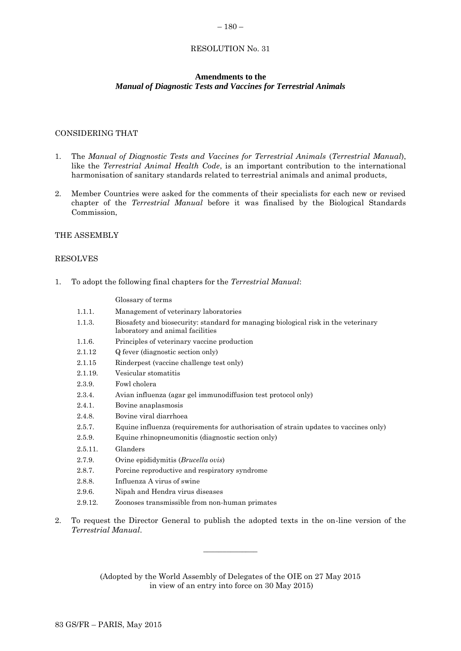#### <span id="page-51-0"></span> $-180-$

#### RESOLUTION No. 31

### **Amendments to the** *Manual of Diagnostic Tests and Vaccines for Terrestrial Animals*

### CONSIDERING THAT

- 1. The *Manual of Diagnostic Tests and Vaccines for Terrestrial Animals* (*Terrestrial Manual*), like the *Terrestrial Animal Health Code*, is an important contribution to the international harmonisation of sanitary standards related to terrestrial animals and animal products,
- 2. Member Countries were asked for the comments of their specialists for each new or revised chapter of the *Terrestrial Manual* before it was finalised by the Biological Standards Commission,

### THE ASSEMBLY

### RESOLVES

1. To adopt the following final chapters for the *Terrestrial Manual*:

#### Glossary of terms

| 1.1.1.  | Management of veterinary laboratories                                                                                  |  |
|---------|------------------------------------------------------------------------------------------------------------------------|--|
| 1.1.3.  | Biosafety and biosecurity: standard for managing biological risk in the veterinary<br>laboratory and animal facilities |  |
| 1.1.6.  | Principles of veterinary vaccine production                                                                            |  |
| 2.1.12  | Q fever (diagnostic section only)                                                                                      |  |
| 2.1.15  | Rinderpest (vaccine challenge test only)                                                                               |  |
| 2.1.19. | Vesicular stomatitis                                                                                                   |  |
| 2.3.9.  | Fowl cholera                                                                                                           |  |
| 2.3.4.  | Avian influenza (agar gel immunodiffusion test protocol only)                                                          |  |
| 2.4.1.  | Bovine anaplasmosis                                                                                                    |  |
| 2.4.8.  | Bovine viral diarrhoea                                                                                                 |  |
| 2.5.7.  | Equine influenza (requirements for authorisation of strain updates to vaccines only)                                   |  |
| 2.5.9.  | Equine rhinopneumonitis (diagnostic section only)                                                                      |  |
| 2.5.11. | Glanders                                                                                                               |  |
| 2.7.9.  | Ovine epididymitis (Brucella ovis)                                                                                     |  |
| 2.8.7.  | Porcine reproductive and respiratory syndrome                                                                          |  |
| 2.8.8.  | Influenza A virus of swine                                                                                             |  |
| 2.9.6.  | Nipah and Hendra virus diseases                                                                                        |  |
| 2.9.12. | Zoonoses transmissible from non-human primates                                                                         |  |

2. To request the Director General to publish the adopted texts in the on-line version of the *Terrestrial Manual*.

 $\overline{\phantom{a}}$  , where  $\overline{\phantom{a}}$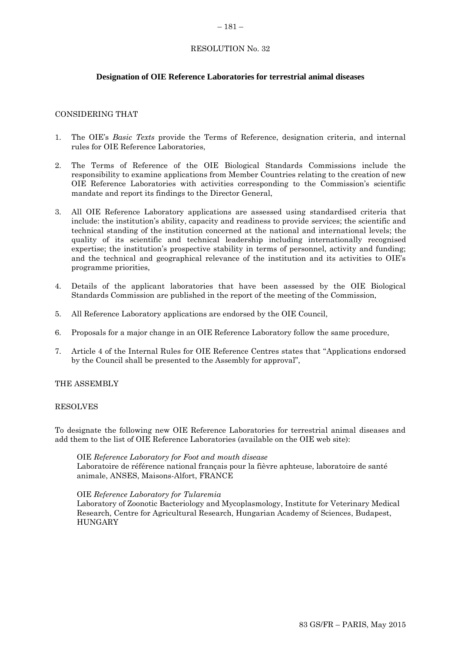#### <span id="page-52-0"></span>– 181 –

### RESOLUTION No. 32

### **Designation of OIE Reference Laboratories for terrestrial animal diseases**

#### CONSIDERING THAT

- 1. The OIE's *Basic Texts* provide the Terms of Reference, designation criteria, and internal rules for OIE Reference Laboratories,
- 2. The Terms of Reference of the OIE Biological Standards Commissions include the responsibility to examine applications from Member Countries relating to the creation of new OIE Reference Laboratories with activities corresponding to the Commission's scientific mandate and report its findings to the Director General,
- 3. All OIE Reference Laboratory applications are assessed using standardised criteria that include: the institution's ability, capacity and readiness to provide services; the scientific and technical standing of the institution concerned at the national and international levels; the quality of its scientific and technical leadership including internationally recognised expertise; the institution's prospective stability in terms of personnel, activity and funding; and the technical and geographical relevance of the institution and its activities to OIE's programme priorities,
- 4. Details of the applicant laboratories that have been assessed by the OIE Biological Standards Commission are published in the report of the meeting of the Commission,
- 5. All Reference Laboratory applications are endorsed by the OIE Council,
- 6. Proposals for a major change in an OIE Reference Laboratory follow the same procedure,
- 7. Article 4 of the Internal Rules for OIE Reference Centres states that "Applications endorsed by the Council shall be presented to the Assembly for approval",

#### THE ASSEMBLY

#### RESOLVES

To designate the following new OIE Reference Laboratories for terrestrial animal diseases and add them to the list of OIE Reference Laboratories (available on the OIE web site):

#### OIE *Reference Laboratory for Foot and mouth disease*

Laboratoire de référence national français pour la fièvre aphteuse, laboratoire de santé animale, ANSES, Maisons-Alfort, FRANCE

#### OIE *Reference Laboratory for Tularemia*

Laboratory of Zoonotic Bacteriology and Mycoplasmology, Institute for Veterinary Medical Research, Centre for Agricultural Research, Hungarian Academy of Sciences, Budapest, **HUNGARY**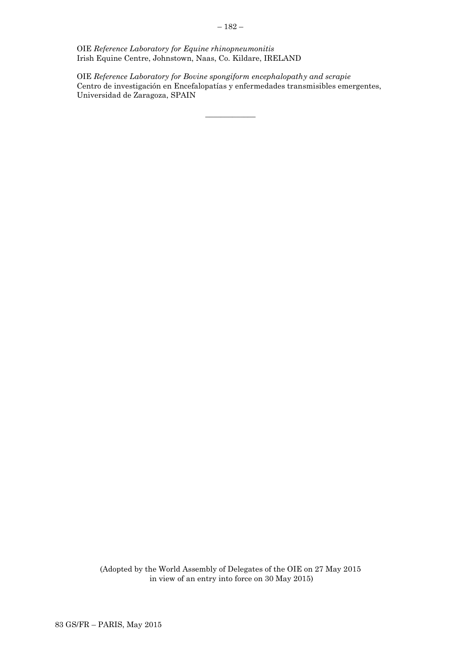OIE *Reference Laboratory for Equine rhinopneumonitis* Irish Equine Centre, Johnstown, Naas, Co. Kildare, IRELAND

OIE *Reference Laboratory for Bovine spongiform encephalopathy and scrapie* Centro de investigación en Encefalopatías y enfermedades transmisibles emergentes, Universidad de Zaragoza, SPAIN

 $\overline{\phantom{a}}$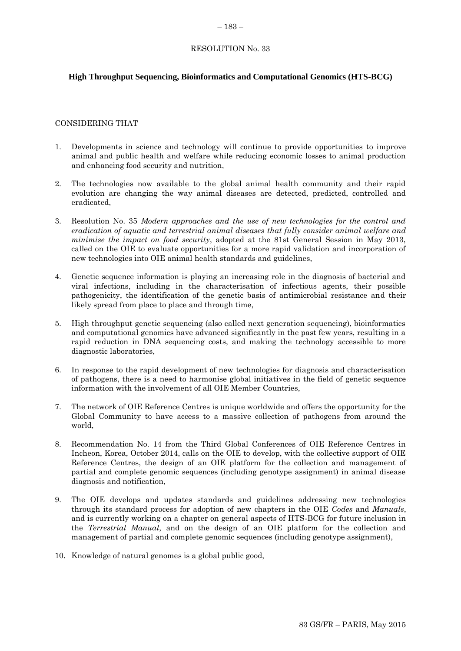### <span id="page-54-0"></span>RESOLUTION No. 33

### **High Throughput Sequencing, Bioinformatics and Computational Genomics (HTS-BCG)**

#### CONSIDERING THAT

- 1. Developments in science and technology will continue to provide opportunities to improve animal and public health and welfare while reducing economic losses to animal production and enhancing food security and nutrition,
- 2. The technologies now available to the global animal health community and their rapid evolution are changing the way animal diseases are detected, predicted, controlled and eradicated,
- 3. Resolution No. 35 *Modern approaches and the use of new technologies for the control and eradication of aquatic and terrestrial animal diseases that fully consider animal welfare and minimise the impact on food security*, adopted at the 81st General Session in May 2013, called on the OIE to evaluate opportunities for a more rapid validation and incorporation of new technologies into OIE animal health standards and guidelines,
- 4. Genetic sequence information is playing an increasing role in the diagnosis of bacterial and viral infections, including in the characterisation of infectious agents, their possible pathogenicity, the identification of the genetic basis of antimicrobial resistance and their likely spread from place to place and through time,
- 5. High throughput genetic sequencing (also called next generation sequencing), bioinformatics and computational genomics have advanced significantly in the past few years, resulting in a rapid reduction in DNA sequencing costs, and making the technology accessible to more diagnostic laboratories,
- 6. In response to the rapid development of new technologies for diagnosis and characterisation of pathogens, there is a need to harmonise global initiatives in the field of genetic sequence information with the involvement of all OIE Member Countries,
- 7. The network of OIE Reference Centres is unique worldwide and offers the opportunity for the Global Community to have access to a massive collection of pathogens from around the world,
- 8. Recommendation No. 14 from the Third Global Conferences of OIE Reference Centres in Incheon, Korea, October 2014, calls on the OIE to develop, with the collective support of OIE Reference Centres, the design of an OIE platform for the collection and management of partial and complete genomic sequences (including genotype assignment) in animal disease diagnosis and notification,
- 9. The OIE develops and updates standards and guidelines addressing new technologies through its standard process for adoption of new chapters in the OIE *Codes* and *Manuals*, and is currently working on a chapter on general aspects of HTS-BCG for future inclusion in the *Terrestrial Manual*, and on the design of an OIE platform for the collection and management of partial and complete genomic sequences (including genotype assignment),
- 10. Knowledge of natural genomes is a global public good,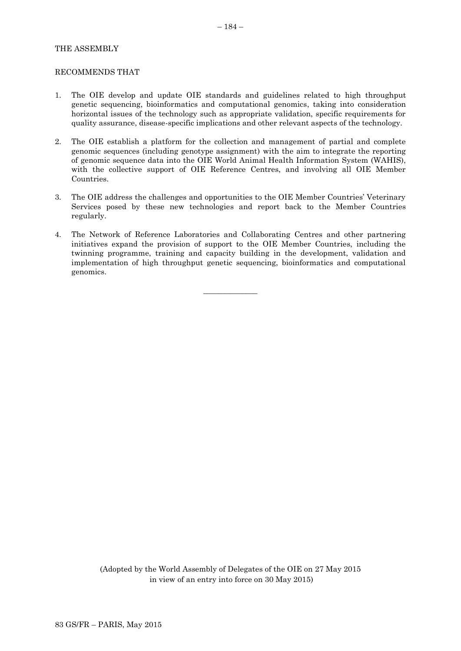### THE ASSEMBLY

#### RECOMMENDS THAT

- 1. The OIE develop and update OIE standards and guidelines related to high throughput genetic sequencing, bioinformatics and computational genomics, taking into consideration horizontal issues of the technology such as appropriate validation, specific requirements for quality assurance, disease-specific implications and other relevant aspects of the technology.
- 2. The OIE establish a platform for the collection and management of partial and complete genomic sequences (including genotype assignment) with the aim to integrate the reporting of genomic sequence data into the OIE World Animal Health Information System (WAHIS), with the collective support of OIE Reference Centres, and involving all OIE Member Countries.
- 3. The OIE address the challenges and opportunities to the OIE Member Countries' Veterinary Services posed by these new technologies and report back to the Member Countries regularly.
- 4. The Network of Reference Laboratories and Collaborating Centres and other partnering initiatives expand the provision of support to the OIE Member Countries, including the twinning programme, training and capacity building in the development, validation and implementation of high throughput genetic sequencing, bioinformatics and computational genomics.

\_\_\_\_\_\_\_\_\_\_\_\_\_\_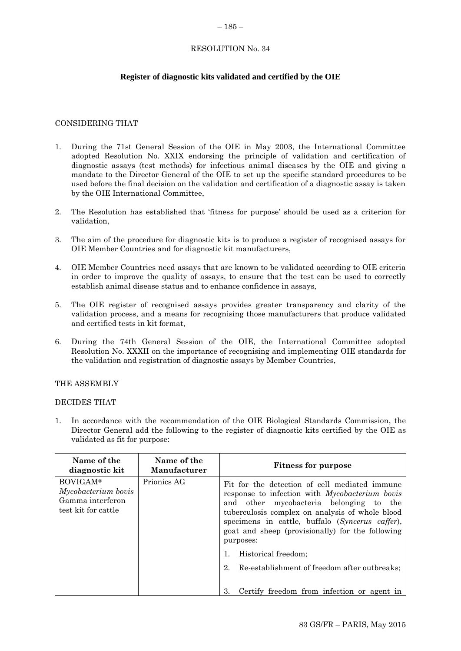#### <span id="page-56-0"></span> $-185-$

### RESOLUTION No. 34

### **Register of diagnostic kits validated and certified by the OIE**

### CONSIDERING THAT

- 1. During the 71st General Session of the OIE in May 2003, the International Committee adopted Resolution No. XXIX endorsing the principle of validation and certification of diagnostic assays (test methods) for infectious animal diseases by the OIE and giving a mandate to the Director General of the OIE to set up the specific standard procedures to be used before the final decision on the validation and certification of a diagnostic assay is taken by the OIE International Committee,
- 2. The Resolution has established that 'fitness for purpose' should be used as a criterion for validation,
- 3. The aim of the procedure for diagnostic kits is to produce a register of recognised assays for OIE Member Countries and for diagnostic kit manufacturers,
- 4. OIE Member Countries need assays that are known to be validated according to OIE criteria in order to improve the quality of assays, to ensure that the test can be used to correctly establish animal disease status and to enhance confidence in assays,
- 5. The OIE register of recognised assays provides greater transparency and clarity of the validation process, and a means for recognising those manufacturers that produce validated and certified tests in kit format,
- 6. During the 74th General Session of the OIE, the International Committee adopted Resolution No. XXXII on the importance of recognising and implementing OIE standards for the validation and registration of diagnostic assays by Member Countries,

### THE ASSEMBLY

### DECIDES THAT

1. In accordance with the recommendation of the OIE Biological Standards Commission, the Director General add the following to the register of diagnostic kits certified by the OIE as validated as fit for purpose:

| Name of the<br>diagnostic kit                                                     | Name of the<br>Manufacturer | <b>Fitness for purpose</b>                                                                                                                                                                                                                                                                                                  |  |
|-----------------------------------------------------------------------------------|-----------------------------|-----------------------------------------------------------------------------------------------------------------------------------------------------------------------------------------------------------------------------------------------------------------------------------------------------------------------------|--|
| <b>BOVIGAM®</b><br>Mycobacterium bovis<br>Gamma interferon<br>test kit for cattle | Prionics AG                 | Fit for the detection of cell mediated immune<br>response to infection with <i>Mycobacterium</i> bovis<br>other mycobacteria belonging to the<br>and<br>tuberculosis complex on analysis of whole blood<br>specimens in cattle, buffalo (Syncerus caffer),<br>goat and sheep (provisionally) for the following<br>purposes: |  |
|                                                                                   |                             | Historical freedom;<br>2.<br>Re-establishment of freedom after outbreaks;<br>Certify freedom from infection or agent in<br>3.                                                                                                                                                                                               |  |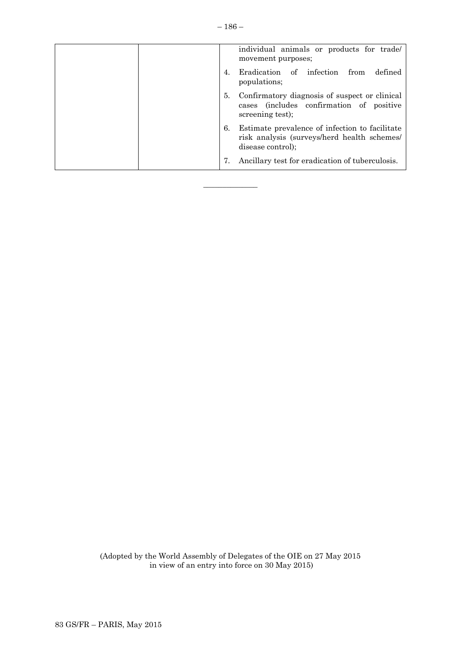|    | individual animals or products for trade/<br>movement purposes;                                                    |
|----|--------------------------------------------------------------------------------------------------------------------|
| 4. | Eradication of infection<br>defined<br>from<br>populations;                                                        |
| 5. | Confirmatory diagnosis of suspect or clinical<br>cases (includes confirmation of positive<br>screening test);      |
| 6. | Estimate prevalence of infection to facilitate<br>risk analysis (surveys/herd health schemes/<br>disease control); |
|    | Ancillary test for eradication of tuberculosis.                                                                    |

\_\_\_\_\_\_\_\_\_\_\_\_\_\_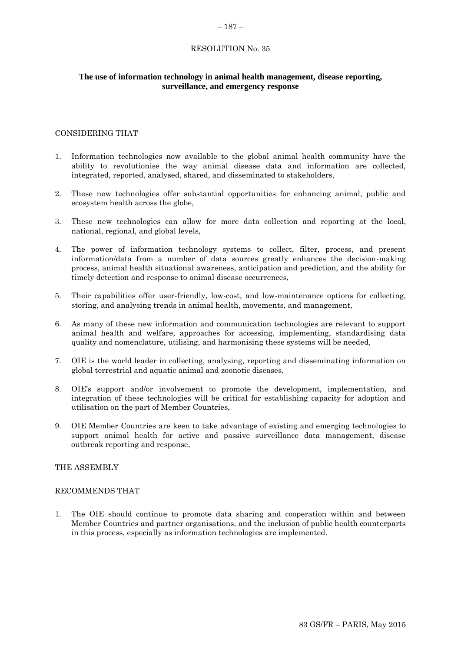#### <span id="page-58-0"></span>– 187 –

### RESOLUTION No. 35

### **The use of information technology in animal health management, disease reporting, surveillance, and emergency response**

#### CONSIDERING THAT

- 1. Information technologies now available to the global animal health community have the ability to revolutionise the way animal disease data and information are collected, integrated, reported, analysed, shared, and disseminated to stakeholders,
- 2. These new technologies offer substantial opportunities for enhancing animal, public and ecosystem health across the globe,
- 3. These new technologies can allow for more data collection and reporting at the local, national, regional, and global levels,
- 4. The power of information technology systems to collect, filter, process, and present information/data from a number of data sources greatly enhances the decision-making process, animal health situational awareness, anticipation and prediction, and the ability for timely detection and response to animal disease occurrences,
- 5. Their capabilities offer user-friendly, low-cost, and low-maintenance options for collecting, storing, and analysing trends in animal health, movements, and management,
- 6. As many of these new information and communication technologies are relevant to support animal health and welfare, approaches for accessing, implementing, standardising data quality and nomenclature, utilising, and harmonising these systems will be needed,
- 7. OIE is the world leader in collecting, analysing, reporting and disseminating information on global terrestrial and aquatic animal and zoonotic diseases,
- 8. OIE's support and/or involvement to promote the development, implementation, and integration of these technologies will be critical for establishing capacity for adoption and utilisation on the part of Member Countries,
- 9. OIE Member Countries are keen to take advantage of existing and emerging technologies to support animal health for active and passive surveillance data management, disease outbreak reporting and response,

#### THE ASSEMBLY

#### RECOMMENDS THAT

1. The OIE should continue to promote data sharing and cooperation within and between Member Countries and partner organisations, and the inclusion of public health counterparts in this process, especially as information technologies are implemented.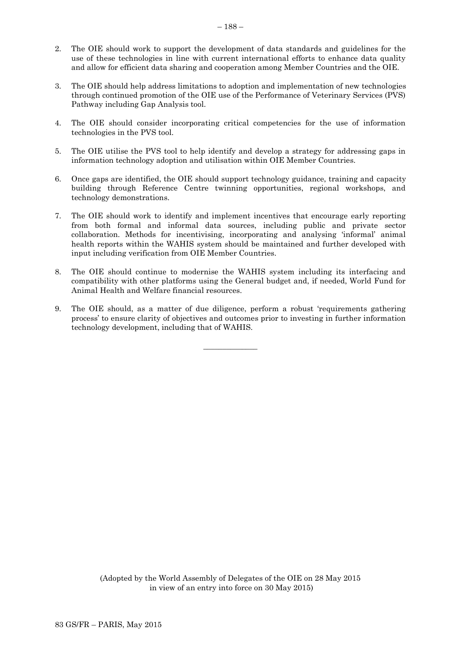- 2. The OIE should work to support the development of data standards and guidelines for the use of these technologies in line with current international efforts to enhance data quality and allow for efficient data sharing and cooperation among Member Countries and the OIE.
- 3. The OIE should help address limitations to adoption and implementation of new technologies through continued promotion of the OIE use of the Performance of Veterinary Services (PVS) Pathway including Gap Analysis tool.
- 4. The OIE should consider incorporating critical competencies for the use of information technologies in the PVS tool.
- 5. The OIE utilise the PVS tool to help identify and develop a strategy for addressing gaps in information technology adoption and utilisation within OIE Member Countries.
- 6. Once gaps are identified, the OIE should support technology guidance, training and capacity building through Reference Centre twinning opportunities, regional workshops, and technology demonstrations.
- 7. The OIE should work to identify and implement incentives that encourage early reporting from both formal and informal data sources, including public and private sector collaboration. Methods for incentivising, incorporating and analysing 'informal' animal health reports within the WAHIS system should be maintained and further developed with input including verification from OIE Member Countries.
- 8. The OIE should continue to modernise the WAHIS system including its interfacing and compatibility with other platforms using the General budget and, if needed, World Fund for Animal Health and Welfare financial resources.
- 9. The OIE should, as a matter of due diligence, perform a robust 'requirements gathering process' to ensure clarity of objectives and outcomes prior to investing in further information technology development, including that of WAHIS.

\_\_\_\_\_\_\_\_\_\_\_\_\_\_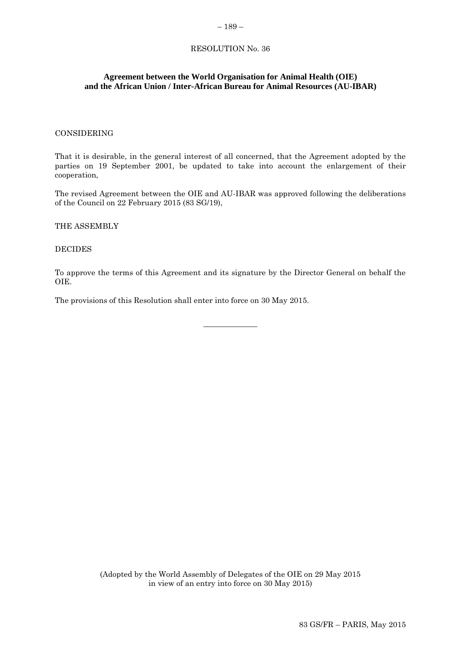### <span id="page-60-0"></span>RESOLUTION No. 36

### **Agreement between the World Organisation for Animal Health (OIE) and the African Union / Inter-African Bureau for Animal Resources (AU-IBAR)**

#### CONSIDERING

That it is desirable, in the general interest of all concerned, that the Agreement adopted by the parties on 19 September 2001, be updated to take into account the enlargement of their cooperation,

The revised Agreement between the OIE and AU-IBAR was approved following the deliberations of the Council on 22 February 2015 (83 SG/19),

THE ASSEMBLY

DECIDES

To approve the terms of this Agreement and its signature by the Director General on behalf the OIE.

\_\_\_\_\_\_\_\_\_\_\_\_\_\_

The provisions of this Resolution shall enter into force on 30 May 2015.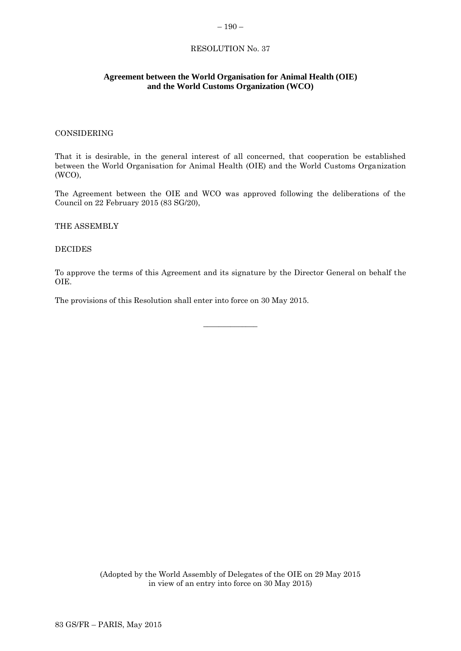#### <span id="page-61-0"></span>– 190 –

### RESOLUTION No. 37

### **Agreement between the World Organisation for Animal Health (OIE) and the World Customs Organization (WCO)**

### CONSIDERING

That it is desirable, in the general interest of all concerned, that cooperation be established between the World Organisation for Animal Health (OIE) and the World Customs Organization (WCO),

The Agreement between the OIE and WCO was approved following the deliberations of the Council on 22 February 2015 (83 SG/20),

THE ASSEMBLY

DECIDES

To approve the terms of this Agreement and its signature by the Director General on behalf the OIE.

\_\_\_\_\_\_\_\_\_\_\_\_\_\_

The provisions of this Resolution shall enter into force on 30 May 2015.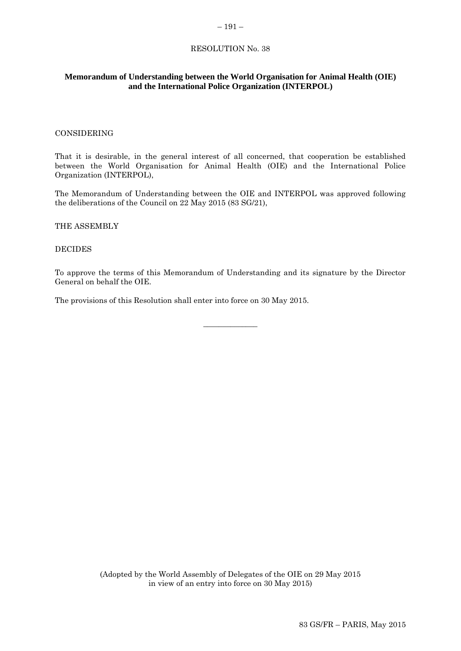#### <span id="page-62-0"></span>– 191 –

### RESOLUTION No. 38

### **Memorandum of Understanding between the World Organisation for Animal Health (OIE) and the International Police Organization (INTERPOL)**

#### CONSIDERING

That it is desirable, in the general interest of all concerned, that cooperation be established between the World Organisation for Animal Health (OIE) and the International Police Organization (INTERPOL),

The Memorandum of Understanding between the OIE and INTERPOL was approved following the deliberations of the Council on 22 May 2015 (83 SG/21),

THE ASSEMBLY

DECIDES

To approve the terms of this Memorandum of Understanding and its signature by the Director General on behalf the OIE.

\_\_\_\_\_\_\_\_\_\_\_\_\_\_

The provisions of this Resolution shall enter into force on 30 May 2015.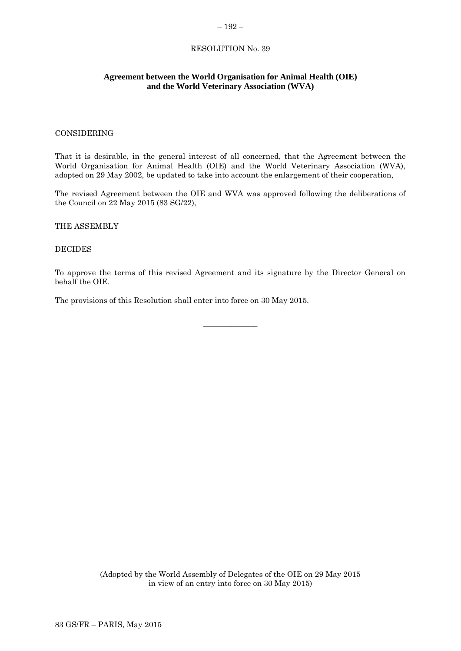### <span id="page-63-0"></span>– 192 –

### RESOLUTION No. 39

### **Agreement between the World Organisation for Animal Health (OIE) and the World Veterinary Association (WVA)**

#### **CONSIDERING**

That it is desirable, in the general interest of all concerned, that the Agreement between the World Organisation for Animal Health (OIE) and the World Veterinary Association (WVA), adopted on 29 May 2002, be updated to take into account the enlargement of their cooperation,

The revised Agreement between the OIE and WVA was approved following the deliberations of the Council on 22 May 2015 (83 SG/22),

THE ASSEMBLY

#### DECIDES

To approve the terms of this revised Agreement and its signature by the Director General on behalf the OIE.

\_\_\_\_\_\_\_\_\_\_\_\_\_\_

The provisions of this Resolution shall enter into force on 30 May 2015.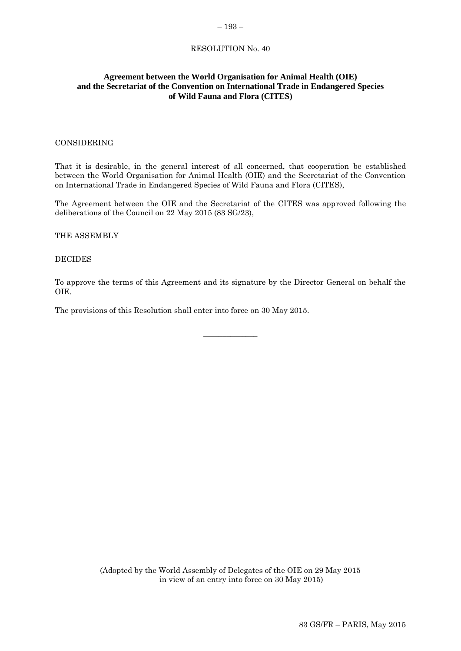#### <span id="page-64-0"></span>– 193 –

#### RESOLUTION No. 40

### **Agreement between the World Organisation for Animal Health (OIE) and the Secretariat of the Convention on International Trade in Endangered Species of Wild Fauna and Flora (CITES)**

#### CONSIDERING

That it is desirable, in the general interest of all concerned, that cooperation be established between the World Organisation for Animal Health (OIE) and the Secretariat of the Convention on International Trade in Endangered Species of Wild Fauna and Flora (CITES),

The Agreement between the OIE and the Secretariat of the CITES was approved following the deliberations of the Council on 22 May 2015 (83 SG/23),

THE ASSEMBLY

#### DECIDES

To approve the terms of this Agreement and its signature by the Director General on behalf the OIE.

\_\_\_\_\_\_\_\_\_\_\_\_\_\_

The provisions of this Resolution shall enter into force on 30 May 2015.